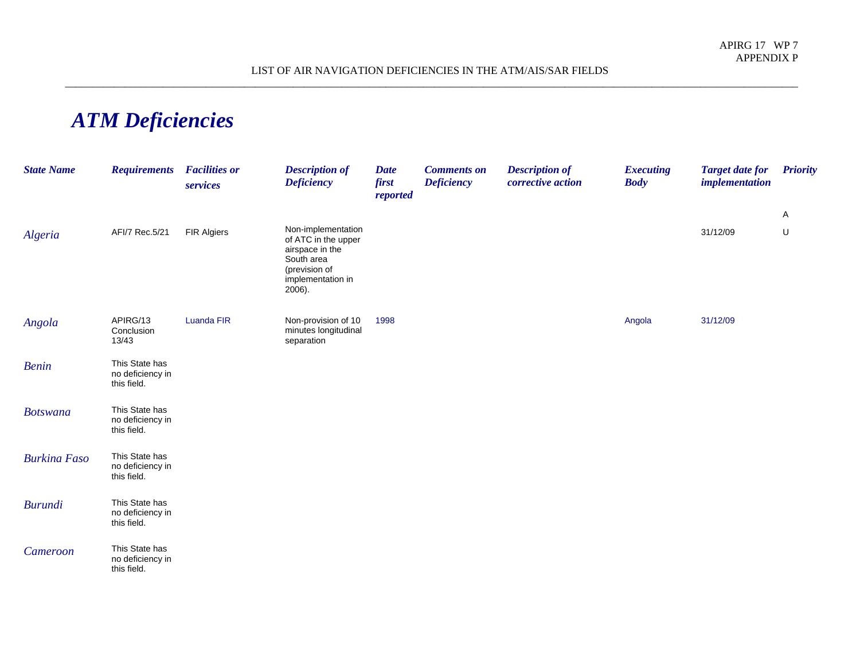## *ATM Deficiencies*

| <b>State Name</b>   | <b>Requirements</b>                               | <b>Facilities or</b><br>services | <b>Description of</b><br><b>Deficiency</b>                                                                                 | <b>Date</b><br>first<br>reported | <b>Comments on</b><br><b>Deficiency</b> | <b>Description of</b><br>corrective action | <b>Executing</b><br><b>Body</b> | <b>Target date for</b><br><i>implementation</i> | <b>Priority</b> |
|---------------------|---------------------------------------------------|----------------------------------|----------------------------------------------------------------------------------------------------------------------------|----------------------------------|-----------------------------------------|--------------------------------------------|---------------------------------|-------------------------------------------------|-----------------|
|                     |                                                   |                                  |                                                                                                                            |                                  |                                         |                                            |                                 |                                                 | A               |
| Algeria             | AFI/7 Rec.5/21                                    | <b>FIR Algiers</b>               | Non-implementation<br>of ATC in the upper<br>airspace in the<br>South area<br>(prevision of<br>implementation in<br>2006). |                                  |                                         |                                            |                                 | 31/12/09                                        | U               |
| Angola              | APIRG/13<br>Conclusion<br>13/43                   | <b>Luanda FIR</b>                | Non-provision of 10<br>minutes longitudinal<br>separation                                                                  | 1998                             |                                         |                                            | Angola                          | 31/12/09                                        |                 |
| <b>Benin</b>        | This State has<br>no deficiency in<br>this field. |                                  |                                                                                                                            |                                  |                                         |                                            |                                 |                                                 |                 |
| <b>Botswana</b>     | This State has<br>no deficiency in<br>this field. |                                  |                                                                                                                            |                                  |                                         |                                            |                                 |                                                 |                 |
| <b>Burkina Faso</b> | This State has<br>no deficiency in<br>this field. |                                  |                                                                                                                            |                                  |                                         |                                            |                                 |                                                 |                 |
| <b>Burundi</b>      | This State has<br>no deficiency in<br>this field. |                                  |                                                                                                                            |                                  |                                         |                                            |                                 |                                                 |                 |
| Cameroon            | This State has<br>no deficiency in<br>this field. |                                  |                                                                                                                            |                                  |                                         |                                            |                                 |                                                 |                 |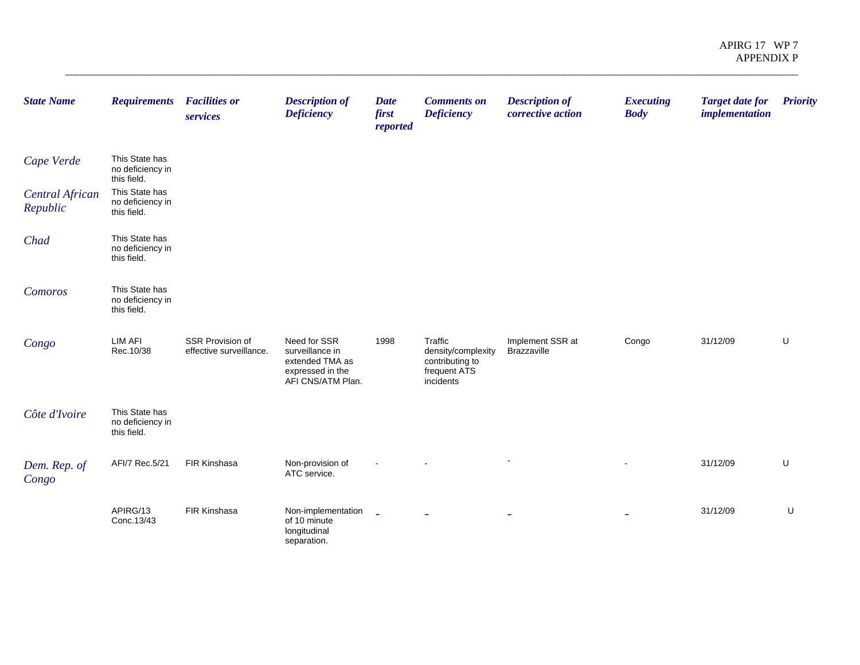| <b>State Name</b>                  | <b>Requirements</b>                               | <b>Facilities or</b><br>services            | <b>Description of</b><br><b>Deficiency</b>                                                  | <b>Date</b><br>first<br>reported | <b>Comments on</b><br><b>Deficiency</b>                                       | <b>Description of</b><br>corrective action | <b>Executing</b><br><b>Body</b> | <b>Target date for</b><br><i>implementation</i> | <b>Priority</b> |
|------------------------------------|---------------------------------------------------|---------------------------------------------|---------------------------------------------------------------------------------------------|----------------------------------|-------------------------------------------------------------------------------|--------------------------------------------|---------------------------------|-------------------------------------------------|-----------------|
| Cape Verde                         | This State has<br>no deficiency in<br>this field. |                                             |                                                                                             |                                  |                                                                               |                                            |                                 |                                                 |                 |
| <b>Central African</b><br>Republic | This State has<br>no deficiency in<br>this field. |                                             |                                                                                             |                                  |                                                                               |                                            |                                 |                                                 |                 |
| Chad                               | This State has<br>no deficiency in<br>this field. |                                             |                                                                                             |                                  |                                                                               |                                            |                                 |                                                 |                 |
| Comoros                            | This State has<br>no deficiency in<br>this field. |                                             |                                                                                             |                                  |                                                                               |                                            |                                 |                                                 |                 |
| Congo                              | <b>LIM AFI</b><br>Rec.10/38                       | SSR Provision of<br>effective surveillance. | Need for SSR<br>surveillance in<br>extended TMA as<br>expressed in the<br>AFI CNS/ATM Plan. | 1998                             | Traffic<br>density/complexity<br>contributing to<br>frequent ATS<br>incidents | Implement SSR at<br>Brazzaville            | Congo                           | 31/12/09                                        | U               |
| Côte d'Ivoire                      | This State has<br>no deficiency in<br>this field. |                                             |                                                                                             |                                  |                                                                               |                                            |                                 |                                                 |                 |
| Dem. Rep. of<br>Congo              | AFI/7 Rec.5/21                                    | FIR Kinshasa                                | Non-provision of<br>ATC service.                                                            |                                  |                                                                               |                                            |                                 | 31/12/09                                        | U               |
|                                    | APIRG/13<br>Conc.13/43                            | FIR Kinshasa                                | Non-implementation<br>of 10 minute<br>longitudinal<br>separation.                           | $\mathbb{Z}^2$                   |                                                                               |                                            |                                 | 31/12/09                                        | U               |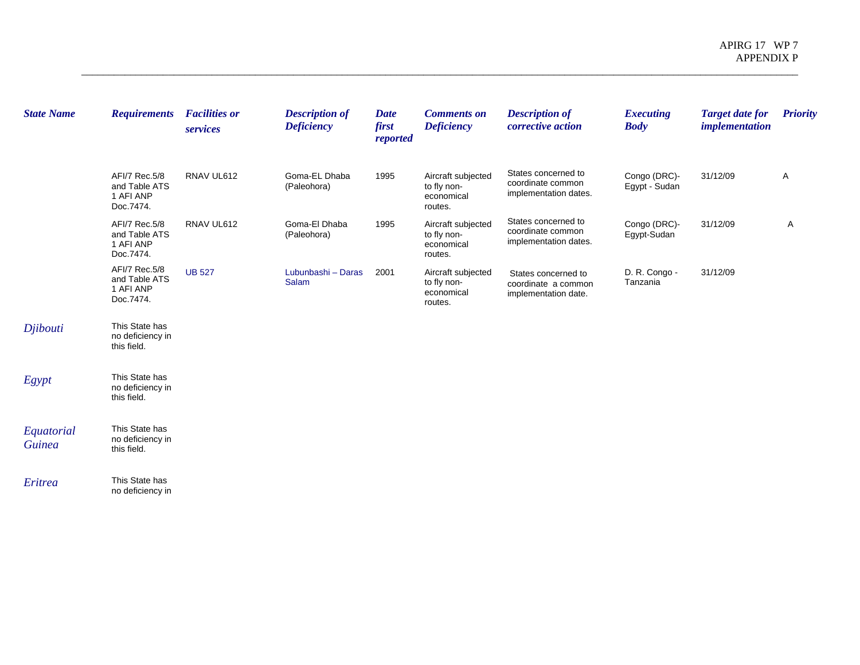| <b>State Name</b>           | <b>Requirements</b>                                      | <b>Facilities or</b><br>services | <b>Description of</b><br><b>Deficiency</b> | <b>Date</b><br>first<br>reported | <b>Comments on</b><br><b>Deficiency</b>                    | <b>Description of</b><br>corrective action                         | <b>Executing</b><br><b>Body</b> | <b>Target date for</b><br>implementation | <b>Priority</b> |
|-----------------------------|----------------------------------------------------------|----------------------------------|--------------------------------------------|----------------------------------|------------------------------------------------------------|--------------------------------------------------------------------|---------------------------------|------------------------------------------|-----------------|
|                             | AFI/7 Rec.5/8<br>and Table ATS<br>1 AFI ANP<br>Doc.7474. | RNAV UL612                       | Goma-EL Dhaba<br>(Paleohora)               | 1995                             | Aircraft subjected<br>to fly non-<br>economical<br>routes. | States concerned to<br>coordinate common<br>implementation dates.  | Congo (DRC)-<br>Egypt - Sudan   | 31/12/09                                 | Α               |
|                             | AFI/7 Rec.5/8<br>and Table ATS<br>1 AFI ANP<br>Doc.7474. | RNAV UL612                       | Goma-El Dhaba<br>(Paleohora)               | 1995                             | Aircraft subjected<br>to fly non-<br>economical<br>routes. | States concerned to<br>coordinate common<br>implementation dates.  | Congo (DRC)-<br>Egypt-Sudan     | 31/12/09                                 | Α               |
|                             | AFI/7 Rec.5/8<br>and Table ATS<br>1 AFI ANP<br>Doc.7474. | <b>UB 527</b>                    | Lubunbashi - Daras<br><b>Salam</b>         | 2001                             | Aircraft subjected<br>to fly non-<br>economical<br>routes. | States concerned to<br>coordinate a common<br>implementation date. | D. R. Congo -<br>Tanzania       | 31/12/09                                 |                 |
| Djibouti                    | This State has<br>no deficiency in<br>this field.        |                                  |                                            |                                  |                                                            |                                                                    |                                 |                                          |                 |
| Egypt                       | This State has<br>no deficiency in<br>this field.        |                                  |                                            |                                  |                                                            |                                                                    |                                 |                                          |                 |
| Equatorial<br><b>Guinea</b> | This State has<br>no deficiency in<br>this field.        |                                  |                                            |                                  |                                                            |                                                                    |                                 |                                          |                 |
| Eritrea                     | This State has<br>no deficiency in                       |                                  |                                            |                                  |                                                            |                                                                    |                                 |                                          |                 |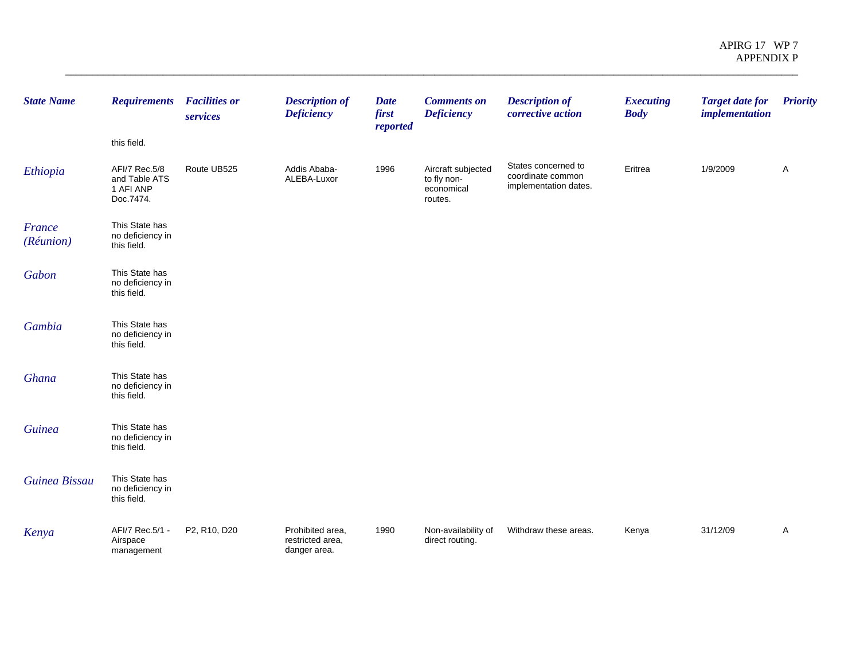| <b>State Name</b>   | <b>Requirements</b><br>this field.                       | <b>Facilities or</b><br>services | <b>Description of</b><br><b>Deficiency</b>           | <b>Date</b><br>first<br>reported | <b>Comments on</b><br><b>Deficiency</b>                    | <b>Description of</b><br>corrective action                        | <b>Executing</b><br><b>Body</b> | <b>Target date for</b><br><i>implementation</i> | <b>Priority</b> |
|---------------------|----------------------------------------------------------|----------------------------------|------------------------------------------------------|----------------------------------|------------------------------------------------------------|-------------------------------------------------------------------|---------------------------------|-------------------------------------------------|-----------------|
| Ethiopia            | AFI/7 Rec.5/8<br>and Table ATS<br>1 AFI ANP<br>Doc.7474. | Route UB525                      | Addis Ababa-<br>ALEBA-Luxor                          | 1996                             | Aircraft subjected<br>to fly non-<br>economical<br>routes. | States concerned to<br>coordinate common<br>implementation dates. | Eritrea                         | 1/9/2009                                        | A               |
| France<br>(Réunion) | This State has<br>no deficiency in<br>this field.        |                                  |                                                      |                                  |                                                            |                                                                   |                                 |                                                 |                 |
| Gabon               | This State has<br>no deficiency in<br>this field.        |                                  |                                                      |                                  |                                                            |                                                                   |                                 |                                                 |                 |
| Gambia              | This State has<br>no deficiency in<br>this field.        |                                  |                                                      |                                  |                                                            |                                                                   |                                 |                                                 |                 |
| Ghana               | This State has<br>no deficiency in<br>this field.        |                                  |                                                      |                                  |                                                            |                                                                   |                                 |                                                 |                 |
| <b>Guinea</b>       | This State has<br>no deficiency in<br>this field.        |                                  |                                                      |                                  |                                                            |                                                                   |                                 |                                                 |                 |
| Guinea Bissau       | This State has<br>no deficiency in<br>this field.        |                                  |                                                      |                                  |                                                            |                                                                   |                                 |                                                 |                 |
| Kenya               | AFI/7 Rec.5/1 -<br>Airspace<br>management                | P2, R10, D20                     | Prohibited area,<br>restricted area,<br>danger area. | 1990                             | Non-availability of<br>direct routing.                     | Withdraw these areas.                                             | Kenya                           | 31/12/09                                        | Α               |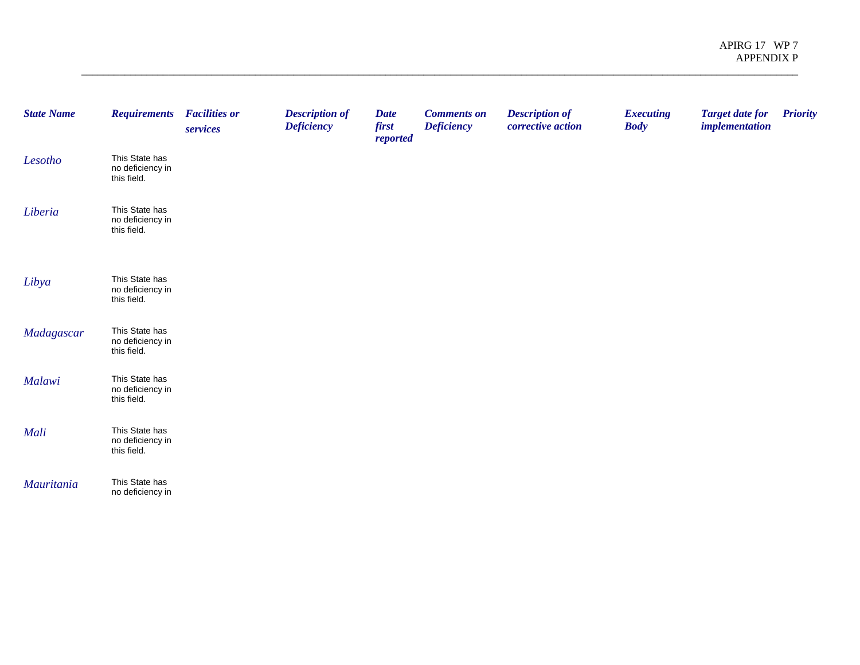| <b>State Name</b> | <b>Requirements</b>                               | <b>Facilities or</b><br>services | <b>Description of</b><br><b>Deficiency</b> | <b>Date</b><br>first<br>reported | <b>Comments on</b><br><b>Deficiency</b> | <b>Description of</b><br>corrective action | <b>Executing</b><br><b>Body</b> | <b>Target date for</b><br><i>implementation</i> | <b>Priority</b> |
|-------------------|---------------------------------------------------|----------------------------------|--------------------------------------------|----------------------------------|-----------------------------------------|--------------------------------------------|---------------------------------|-------------------------------------------------|-----------------|
| Lesotho           | This State has<br>no deficiency in<br>this field. |                                  |                                            |                                  |                                         |                                            |                                 |                                                 |                 |
| Liberia           | This State has<br>no deficiency in<br>this field. |                                  |                                            |                                  |                                         |                                            |                                 |                                                 |                 |
| Libya             | This State has<br>no deficiency in<br>this field. |                                  |                                            |                                  |                                         |                                            |                                 |                                                 |                 |
| Madagascar        | This State has<br>no deficiency in<br>this field. |                                  |                                            |                                  |                                         |                                            |                                 |                                                 |                 |
| Malawi            | This State has<br>no deficiency in<br>this field. |                                  |                                            |                                  |                                         |                                            |                                 |                                                 |                 |
| Mali              | This State has<br>no deficiency in<br>this field. |                                  |                                            |                                  |                                         |                                            |                                 |                                                 |                 |
| Mauritania        | This State has<br>no deficiency in                |                                  |                                            |                                  |                                         |                                            |                                 |                                                 |                 |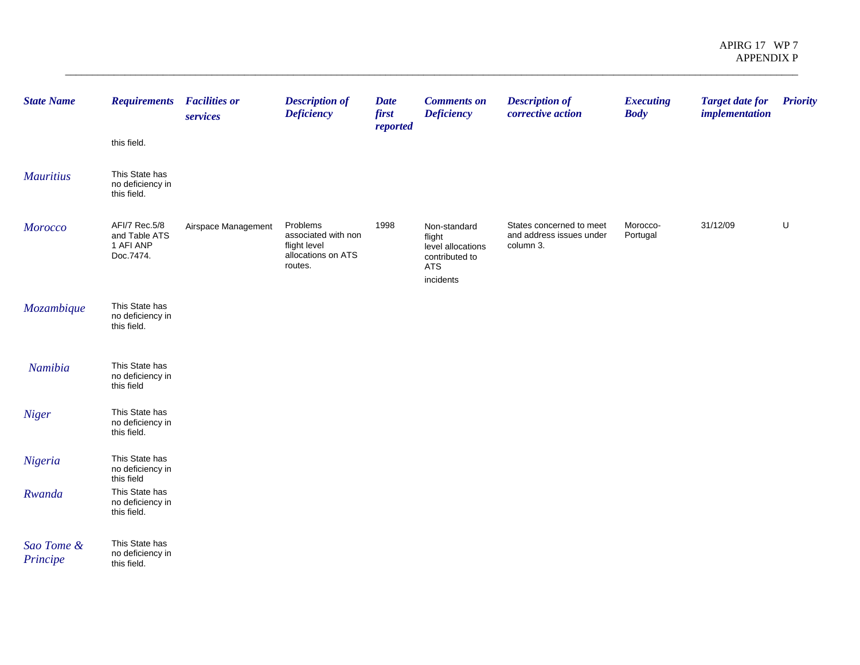| <b>State Name</b>      | <b>Requirements</b><br>this field.                       | <b>Facilities or</b><br>services | <b>Description of</b><br><b>Deficiency</b>                                       | <b>Date</b><br>first<br>reported | <b>Comments on</b><br><b>Deficiency</b>                                                  | <b>Description of</b><br>corrective action                        | <b>Executing</b><br><b>Body</b> | <b>Target date for</b><br><i>implementation</i> | <b>Priority</b> |
|------------------------|----------------------------------------------------------|----------------------------------|----------------------------------------------------------------------------------|----------------------------------|------------------------------------------------------------------------------------------|-------------------------------------------------------------------|---------------------------------|-------------------------------------------------|-----------------|
| <b>Mauritius</b>       | This State has<br>no deficiency in<br>this field.        |                                  |                                                                                  |                                  |                                                                                          |                                                                   |                                 |                                                 |                 |
| <b>Morocco</b>         | AFI/7 Rec.5/8<br>and Table ATS<br>1 AFI ANP<br>Doc.7474. | Airspace Management              | Problems<br>associated with non<br>flight level<br>allocations on ATS<br>routes. | 1998                             | Non-standard<br>flight<br>level allocations<br>contributed to<br><b>ATS</b><br>incidents | States concerned to meet<br>and address issues under<br>column 3. | Morocco-<br>Portugal            | 31/12/09                                        | U               |
| Mozambique             | This State has<br>no deficiency in<br>this field.        |                                  |                                                                                  |                                  |                                                                                          |                                                                   |                                 |                                                 |                 |
| Namibia                | This State has<br>no deficiency in<br>this field         |                                  |                                                                                  |                                  |                                                                                          |                                                                   |                                 |                                                 |                 |
| Niger                  | This State has<br>no deficiency in<br>this field.        |                                  |                                                                                  |                                  |                                                                                          |                                                                   |                                 |                                                 |                 |
| Nigeria                | This State has<br>no deficiency in<br>this field         |                                  |                                                                                  |                                  |                                                                                          |                                                                   |                                 |                                                 |                 |
| Rwanda                 | This State has<br>no deficiency in<br>this field.        |                                  |                                                                                  |                                  |                                                                                          |                                                                   |                                 |                                                 |                 |
| Sao Tome &<br>Principe | This State has<br>no deficiency in<br>this field.        |                                  |                                                                                  |                                  |                                                                                          |                                                                   |                                 |                                                 |                 |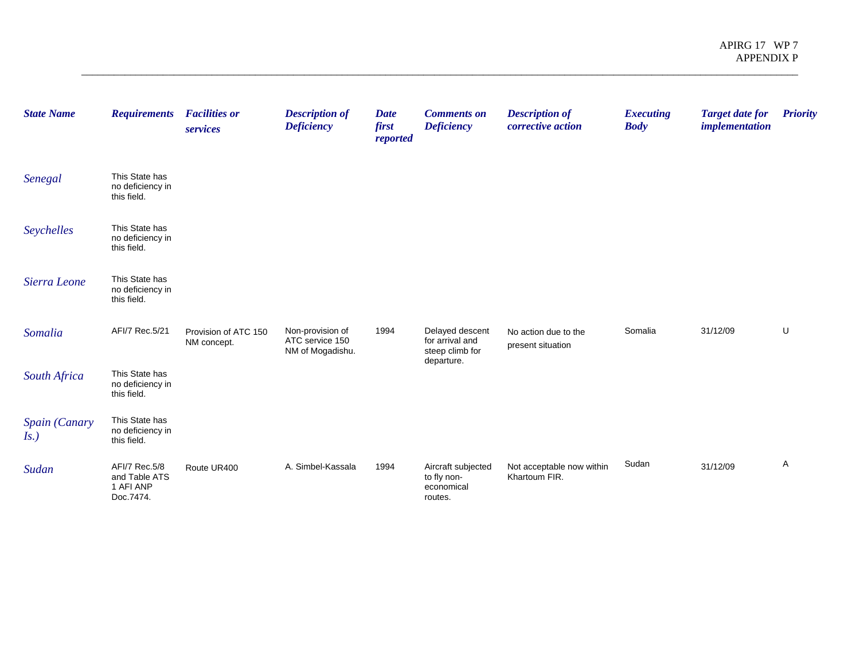| <b>State Name</b>    | <b>Requirements</b>                                      | <b>Facilities or</b><br>services    | <b>Description of</b><br><b>Deficiency</b>              | <b>Date</b><br>first<br>reported | <b>Comments on</b><br><b>Deficiency</b>                    | <b>Description of</b><br>corrective action | <b>Executing</b><br><b>Body</b> | <b>Target date for</b><br><i>implementation</i> | <b>Priority</b> |
|----------------------|----------------------------------------------------------|-------------------------------------|---------------------------------------------------------|----------------------------------|------------------------------------------------------------|--------------------------------------------|---------------------------------|-------------------------------------------------|-----------------|
| Senegal              | This State has<br>no deficiency in<br>this field.        |                                     |                                                         |                                  |                                                            |                                            |                                 |                                                 |                 |
| Seychelles           | This State has<br>no deficiency in<br>this field.        |                                     |                                                         |                                  |                                                            |                                            |                                 |                                                 |                 |
| Sierra Leone         | This State has<br>no deficiency in<br>this field.        |                                     |                                                         |                                  |                                                            |                                            |                                 |                                                 |                 |
| Somalia              | AFI/7 Rec.5/21                                           | Provision of ATC 150<br>NM concept. | Non-provision of<br>ATC service 150<br>NM of Mogadishu. | 1994                             | Delayed descent<br>for arrival and<br>steep climb for      | No action due to the<br>present situation  | Somalia                         | 31/12/09                                        | U               |
| South Africa         | This State has<br>no deficiency in<br>this field.        |                                     |                                                         |                                  | departure.                                                 |                                            |                                 |                                                 |                 |
| Spain (Canary<br>Is. | This State has<br>no deficiency in<br>this field.        |                                     |                                                         |                                  |                                                            |                                            |                                 |                                                 |                 |
| Sudan                | AFI/7 Rec.5/8<br>and Table ATS<br>1 AFI ANP<br>Doc.7474. | Route UR400                         | A. Simbel-Kassala                                       | 1994                             | Aircraft subjected<br>to fly non-<br>economical<br>routes. | Not acceptable now within<br>Khartoum FIR. | Sudan                           | 31/12/09                                        | $\mathsf{A}$    |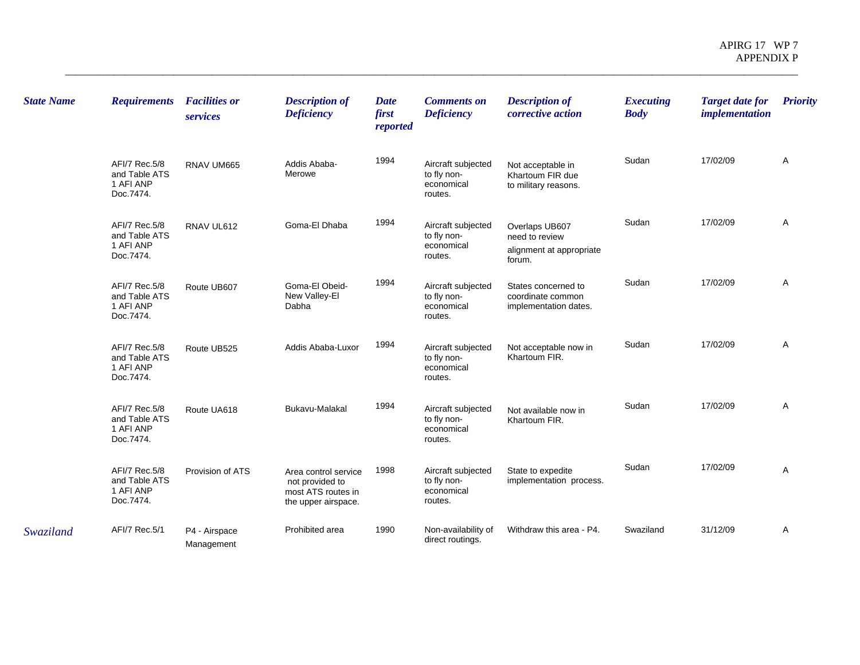| <b>State Name</b> | <b>Requirements</b>                                      | <b>Facilities or</b><br>services | <b>Description of</b><br><b>Deficiency</b>                                           | <b>Date</b><br>first<br>reported | <b>Comments on</b><br><b>Deficiency</b>                    | <b>Description of</b><br>corrective action                             | <b>Executing</b><br><b>Body</b> | <b>Target date for</b><br><i>implementation</i> | <b>Priority</b> |
|-------------------|----------------------------------------------------------|----------------------------------|--------------------------------------------------------------------------------------|----------------------------------|------------------------------------------------------------|------------------------------------------------------------------------|---------------------------------|-------------------------------------------------|-----------------|
|                   | AFI/7 Rec.5/8<br>and Table ATS<br>1 AFI ANP<br>Doc.7474. | RNAV UM665                       | Addis Ababa-<br>Merowe                                                               | 1994                             | Aircraft subjected<br>to fly non-<br>economical<br>routes. | Not acceptable in<br>Khartoum FIR due<br>to military reasons.          | Sudan                           | 17/02/09                                        | Α               |
|                   | AFI/7 Rec.5/8<br>and Table ATS<br>1 AFI ANP<br>Doc.7474. | RNAV UL612                       | Goma-El Dhaba                                                                        | 1994                             | Aircraft subjected<br>to fly non-<br>economical<br>routes. | Overlaps UB607<br>need to review<br>alignment at appropriate<br>forum. | Sudan                           | 17/02/09                                        | A               |
|                   | AFI/7 Rec.5/8<br>and Table ATS<br>1 AFI ANP<br>Doc.7474. | Route UB607                      | Goma-El Obeid-<br>New Valley-El<br>Dabha                                             | 1994                             | Aircraft subjected<br>to fly non-<br>economical<br>routes. | States concerned to<br>coordinate common<br>implementation dates.      | Sudan                           | 17/02/09                                        | Α               |
|                   | AFI/7 Rec.5/8<br>and Table ATS<br>1 AFI ANP<br>Doc.7474. | Route UB525                      | Addis Ababa-Luxor                                                                    | 1994                             | Aircraft subjected<br>to fly non-<br>economical<br>routes. | Not acceptable now in<br>Khartoum FIR.                                 | Sudan                           | 17/02/09                                        | A               |
|                   | AFI/7 Rec.5/8<br>and Table ATS<br>1 AFI ANP<br>Doc.7474. | Route UA618                      | Bukavu-Malakal                                                                       | 1994                             | Aircraft subjected<br>to fly non-<br>economical<br>routes. | Not available now in<br>Khartoum FIR.                                  | Sudan                           | 17/02/09                                        | Α               |
|                   | AFI/7 Rec.5/8<br>and Table ATS<br>1 AFI ANP<br>Doc.7474. | Provision of ATS                 | Area control service<br>not provided to<br>most ATS routes in<br>the upper airspace. | 1998                             | Aircraft subjected<br>to fly non-<br>economical<br>routes. | State to expedite<br>implementation process.                           | Sudan                           | 17/02/09                                        | A               |
| Swaziland         | AFI/7 Rec.5/1                                            | P4 - Airspace<br>Management      | Prohibited area                                                                      | 1990                             | Non-availability of<br>direct routings.                    | Withdraw this area - P4.                                               | Swaziland                       | 31/12/09                                        | Α               |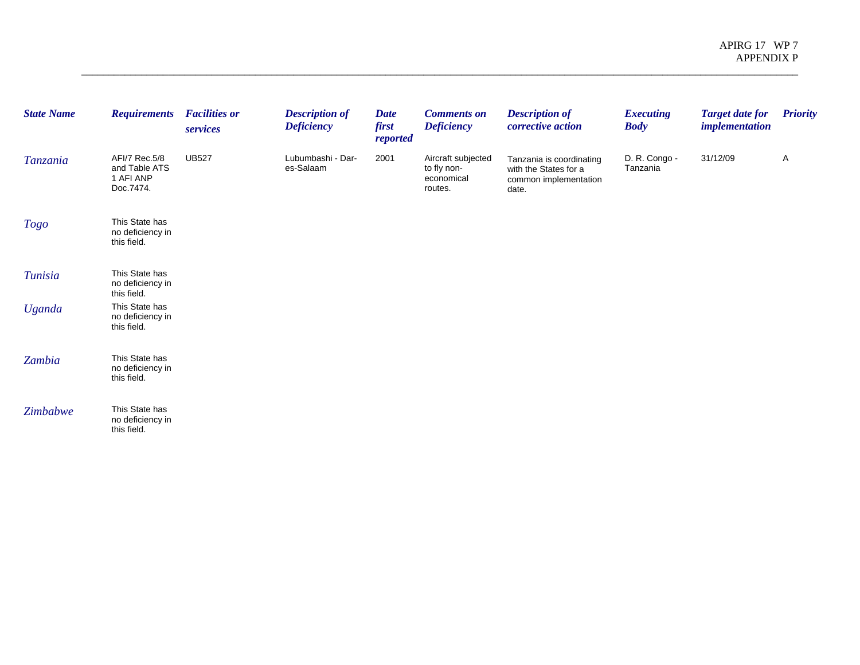| <b>State Name</b> | <b>Requirements</b>                                      | <b>Facilities or</b><br>services | <b>Description of</b><br><b>Deficiency</b> | <b>Date</b><br>first<br>reported | <b>Comments on</b><br><b>Deficiency</b>                    | <b>Description of</b><br>corrective action                                          | <b>Executing</b><br><b>Body</b> | <b>Target date for</b><br><i>implementation</i> | <b>Priority</b> |
|-------------------|----------------------------------------------------------|----------------------------------|--------------------------------------------|----------------------------------|------------------------------------------------------------|-------------------------------------------------------------------------------------|---------------------------------|-------------------------------------------------|-----------------|
| Tanzania          | AFI/7 Rec.5/8<br>and Table ATS<br>1 AFI ANP<br>Doc.7474. | <b>UB527</b>                     | Lubumbashi - Dar-<br>es-Salaam             | 2001                             | Aircraft subjected<br>to fly non-<br>economical<br>routes. | Tanzania is coordinating<br>with the States for a<br>common implementation<br>date. | D. R. Congo -<br>Tanzania       | 31/12/09                                        | A               |
| <b>Togo</b>       | This State has<br>no deficiency in<br>this field.        |                                  |                                            |                                  |                                                            |                                                                                     |                                 |                                                 |                 |
| <b>Tunisia</b>    | This State has<br>no deficiency in<br>this field.        |                                  |                                            |                                  |                                                            |                                                                                     |                                 |                                                 |                 |
| <b>Uganda</b>     | This State has<br>no deficiency in<br>this field.        |                                  |                                            |                                  |                                                            |                                                                                     |                                 |                                                 |                 |
| Zambia            | This State has<br>no deficiency in<br>this field.        |                                  |                                            |                                  |                                                            |                                                                                     |                                 |                                                 |                 |
| Zimbabwe          | This State has<br>no deficiency in<br>this field.        |                                  |                                            |                                  |                                                            |                                                                                     |                                 |                                                 |                 |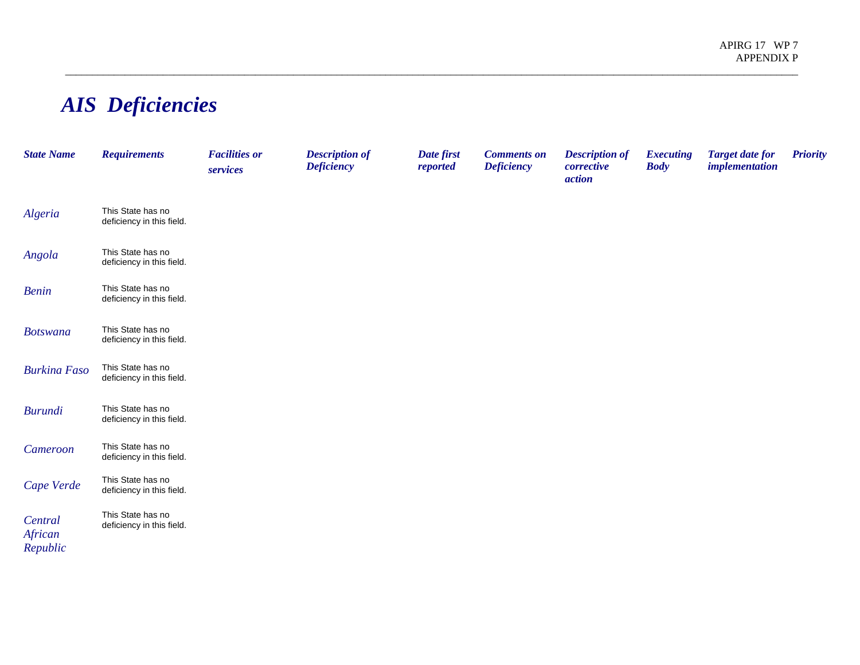## *AIS Deficiencies*

| <b>State Name</b>              | <b>Requirements</b>                            | <b>Facilities or</b><br>services | <b>Description of</b><br><b>Deficiency</b> | Date first<br>reported | <b>Comments on</b><br><b>Deficiency</b> | <b>Description of</b><br>corrective<br>action | <b>Executing</b><br><b>Body</b> | <b>Target date for</b><br><i>implementation</i> | <b>Priority</b> |
|--------------------------------|------------------------------------------------|----------------------------------|--------------------------------------------|------------------------|-----------------------------------------|-----------------------------------------------|---------------------------------|-------------------------------------------------|-----------------|
| Algeria                        | This State has no<br>deficiency in this field. |                                  |                                            |                        |                                         |                                               |                                 |                                                 |                 |
| Angola                         | This State has no<br>deficiency in this field. |                                  |                                            |                        |                                         |                                               |                                 |                                                 |                 |
| <b>Benin</b>                   | This State has no<br>deficiency in this field. |                                  |                                            |                        |                                         |                                               |                                 |                                                 |                 |
| <b>Botswana</b>                | This State has no<br>deficiency in this field. |                                  |                                            |                        |                                         |                                               |                                 |                                                 |                 |
| <b>Burkina Faso</b>            | This State has no<br>deficiency in this field. |                                  |                                            |                        |                                         |                                               |                                 |                                                 |                 |
| <b>Burundi</b>                 | This State has no<br>deficiency in this field. |                                  |                                            |                        |                                         |                                               |                                 |                                                 |                 |
| Cameroon                       | This State has no<br>deficiency in this field. |                                  |                                            |                        |                                         |                                               |                                 |                                                 |                 |
| Cape Verde                     | This State has no<br>deficiency in this field. |                                  |                                            |                        |                                         |                                               |                                 |                                                 |                 |
| Central<br>African<br>Republic | This State has no<br>deficiency in this field. |                                  |                                            |                        |                                         |                                               |                                 |                                                 |                 |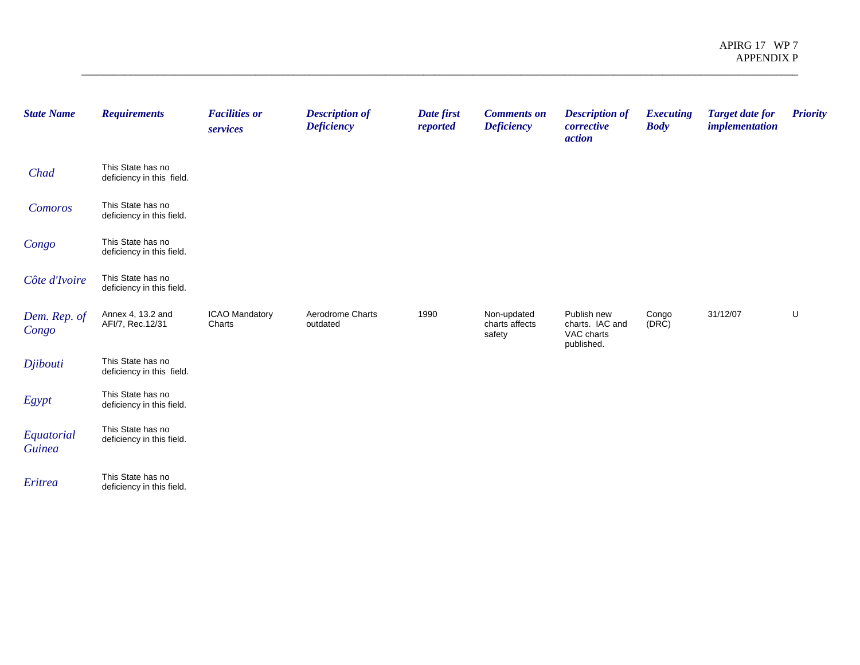| <b>State Name</b>           | <b>Requirements</b>                            | <b>Facilities or</b><br>services | <b>Description of</b><br><b>Deficiency</b> | Date first<br>reported | <b>Comments on</b><br><b>Deficiency</b> | <b>Description of</b><br>corrective<br>action              | <b>Executing</b><br><b>Body</b> | <b>Target date for</b><br><i>implementation</i> | <b>Priority</b> |
|-----------------------------|------------------------------------------------|----------------------------------|--------------------------------------------|------------------------|-----------------------------------------|------------------------------------------------------------|---------------------------------|-------------------------------------------------|-----------------|
| Chad                        | This State has no<br>deficiency in this field. |                                  |                                            |                        |                                         |                                                            |                                 |                                                 |                 |
| Comoros                     | This State has no<br>deficiency in this field. |                                  |                                            |                        |                                         |                                                            |                                 |                                                 |                 |
| Congo                       | This State has no<br>deficiency in this field. |                                  |                                            |                        |                                         |                                                            |                                 |                                                 |                 |
| Côte d'Ivoire               | This State has no<br>deficiency in this field. |                                  |                                            |                        |                                         |                                                            |                                 |                                                 |                 |
| Dem. Rep. of<br>Congo       | Annex 4, 13.2 and<br>AFI/7, Rec.12/31          | ICAO Mandatory<br>Charts         | Aerodrome Charts<br>outdated               | 1990                   | Non-updated<br>charts affects<br>safety | Publish new<br>charts. IAC and<br>VAC charts<br>published. | Congo<br>(DRC)                  | 31/12/07                                        | U               |
| Djibouti                    | This State has no<br>deficiency in this field. |                                  |                                            |                        |                                         |                                                            |                                 |                                                 |                 |
| Egypt                       | This State has no<br>deficiency in this field. |                                  |                                            |                        |                                         |                                                            |                                 |                                                 |                 |
| Equatorial<br><b>Guinea</b> | This State has no<br>deficiency in this field. |                                  |                                            |                        |                                         |                                                            |                                 |                                                 |                 |
| Eritrea                     | This State has no<br>deficiency in this field. |                                  |                                            |                        |                                         |                                                            |                                 |                                                 |                 |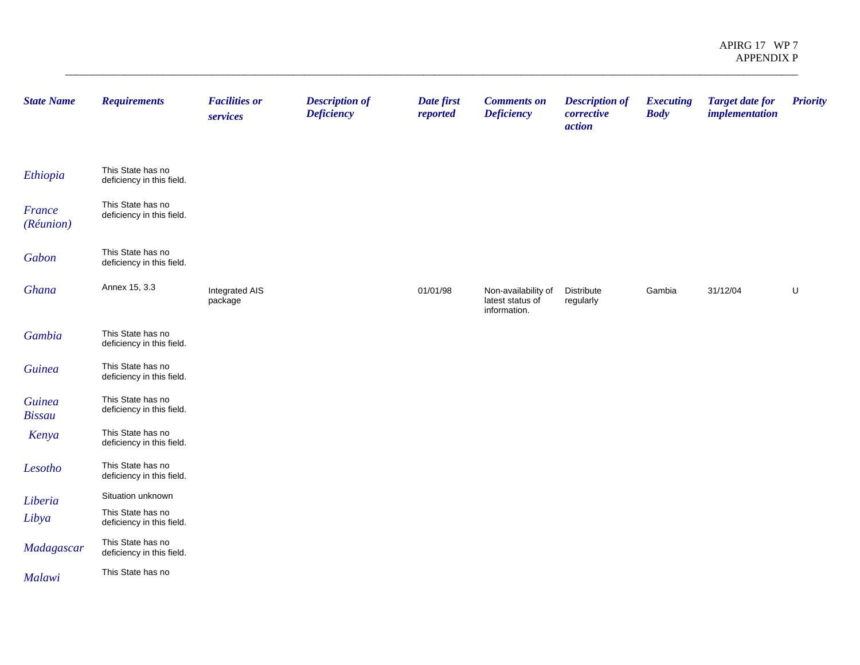| <b>State Name</b>              | <b>Requirements</b>                            | <b>Facilities or</b><br>services | <b>Description of</b><br><b>Deficiency</b> | Date first<br>reported | <b>Comments on</b><br><b>Deficiency</b>                 | <b>Description of</b><br>corrective<br>action | <b>Executing</b><br><b>Body</b> | <b>Target date for</b><br><i>implementation</i> | <b>Priority</b> |
|--------------------------------|------------------------------------------------|----------------------------------|--------------------------------------------|------------------------|---------------------------------------------------------|-----------------------------------------------|---------------------------------|-------------------------------------------------|-----------------|
| Ethiopia                       | This State has no<br>deficiency in this field. |                                  |                                            |                        |                                                         |                                               |                                 |                                                 |                 |
| France<br>(Réunion)            | This State has no<br>deficiency in this field. |                                  |                                            |                        |                                                         |                                               |                                 |                                                 |                 |
| Gabon                          | This State has no<br>deficiency in this field. |                                  |                                            |                        |                                                         |                                               |                                 |                                                 |                 |
| Ghana                          | Annex 15, 3.3                                  | Integrated AIS<br>package        |                                            | 01/01/98               | Non-availability of<br>latest status of<br>information. | Distribute<br>regularly                       | Gambia                          | 31/12/04                                        | U               |
| Gambia                         | This State has no<br>deficiency in this field. |                                  |                                            |                        |                                                         |                                               |                                 |                                                 |                 |
| <b>Guinea</b>                  | This State has no<br>deficiency in this field. |                                  |                                            |                        |                                                         |                                               |                                 |                                                 |                 |
| <b>Guinea</b><br><b>Bissau</b> | This State has no<br>deficiency in this field. |                                  |                                            |                        |                                                         |                                               |                                 |                                                 |                 |
| Kenya                          | This State has no<br>deficiency in this field. |                                  |                                            |                        |                                                         |                                               |                                 |                                                 |                 |
| Lesotho                        | This State has no<br>deficiency in this field. |                                  |                                            |                        |                                                         |                                               |                                 |                                                 |                 |
| Liberia                        | Situation unknown                              |                                  |                                            |                        |                                                         |                                               |                                 |                                                 |                 |
| Libya                          | This State has no<br>deficiency in this field. |                                  |                                            |                        |                                                         |                                               |                                 |                                                 |                 |
| Madagascar                     | This State has no<br>deficiency in this field. |                                  |                                            |                        |                                                         |                                               |                                 |                                                 |                 |
| Malawi                         | This State has no                              |                                  |                                            |                        |                                                         |                                               |                                 |                                                 |                 |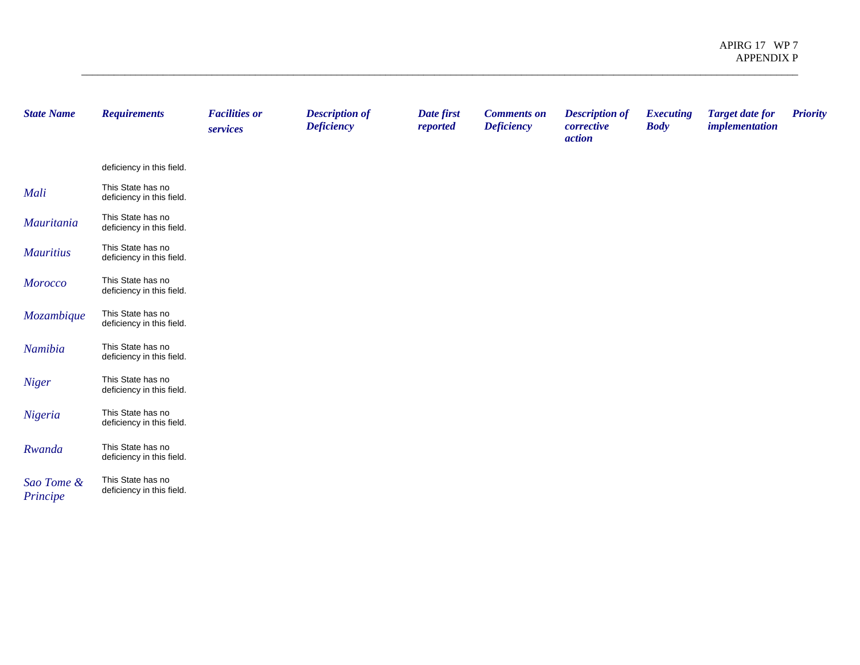| <b>State Name</b>      | <b>Requirements</b>                            | <b>Facilities or</b><br>services | <b>Description of</b><br><b>Deficiency</b> | Date first<br>reported | <b>Comments on</b><br><b>Deficiency</b> | <b>Description of</b><br>corrective<br><i>action</i> | <b>Executing</b><br><b>Body</b> | <b>Target date for</b><br><i>implementation</i> | <b>Priority</b> |
|------------------------|------------------------------------------------|----------------------------------|--------------------------------------------|------------------------|-----------------------------------------|------------------------------------------------------|---------------------------------|-------------------------------------------------|-----------------|
|                        | deficiency in this field.                      |                                  |                                            |                        |                                         |                                                      |                                 |                                                 |                 |
| Mali                   | This State has no<br>deficiency in this field. |                                  |                                            |                        |                                         |                                                      |                                 |                                                 |                 |
| Mauritania             | This State has no<br>deficiency in this field. |                                  |                                            |                        |                                         |                                                      |                                 |                                                 |                 |
| <b>Mauritius</b>       | This State has no<br>deficiency in this field. |                                  |                                            |                        |                                         |                                                      |                                 |                                                 |                 |
| <b>Morocco</b>         | This State has no<br>deficiency in this field. |                                  |                                            |                        |                                         |                                                      |                                 |                                                 |                 |
| Mozambique             | This State has no<br>deficiency in this field. |                                  |                                            |                        |                                         |                                                      |                                 |                                                 |                 |
| Namibia                | This State has no<br>deficiency in this field. |                                  |                                            |                        |                                         |                                                      |                                 |                                                 |                 |
| <b>Niger</b>           | This State has no<br>deficiency in this field. |                                  |                                            |                        |                                         |                                                      |                                 |                                                 |                 |
| Nigeria                | This State has no<br>deficiency in this field. |                                  |                                            |                        |                                         |                                                      |                                 |                                                 |                 |
| Rwanda                 | This State has no<br>deficiency in this field. |                                  |                                            |                        |                                         |                                                      |                                 |                                                 |                 |
| Sao Tome &<br>Principe | This State has no<br>deficiency in this field. |                                  |                                            |                        |                                         |                                                      |                                 |                                                 |                 |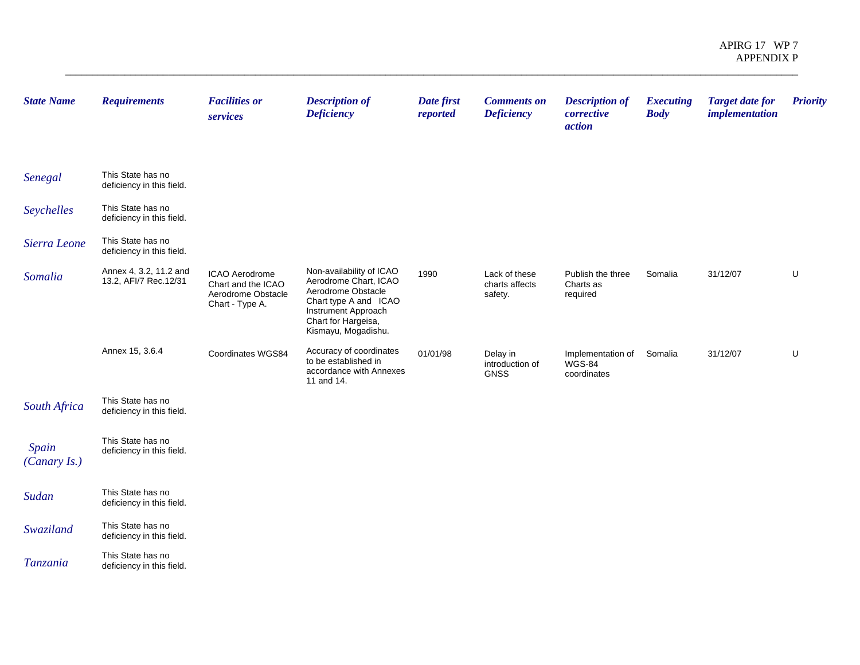| <b>State Name</b>     | <b>Requirements</b>                             | <b>Facilities or</b><br>services                                              | <b>Description of</b><br><b>Deficiency</b>                                                                                                                            | Date first<br>reported | <b>Comments on</b><br><b>Deficiency</b>    | <b>Description of</b><br>corrective<br>action     | <b>Executing</b><br><b>Body</b> | <b>Target date for</b><br><i>implementation</i> | <b>Priority</b> |
|-----------------------|-------------------------------------------------|-------------------------------------------------------------------------------|-----------------------------------------------------------------------------------------------------------------------------------------------------------------------|------------------------|--------------------------------------------|---------------------------------------------------|---------------------------------|-------------------------------------------------|-----------------|
| Senegal               | This State has no<br>deficiency in this field.  |                                                                               |                                                                                                                                                                       |                        |                                            |                                                   |                                 |                                                 |                 |
| Seychelles            | This State has no<br>deficiency in this field.  |                                                                               |                                                                                                                                                                       |                        |                                            |                                                   |                                 |                                                 |                 |
| Sierra Leone          | This State has no<br>deficiency in this field.  |                                                                               |                                                                                                                                                                       |                        |                                            |                                                   |                                 |                                                 |                 |
| Somalia               | Annex 4, 3.2, 11.2 and<br>13.2, AFI/7 Rec.12/31 | ICAO Aerodrome<br>Chart and the ICAO<br>Aerodrome Obstacle<br>Chart - Type A. | Non-availability of ICAO<br>Aerodrome Chart, ICAO<br>Aerodrome Obstacle<br>Chart type A and ICAO<br>Instrument Approach<br>Chart for Hargeisa,<br>Kismayu, Mogadishu. | 1990                   | Lack of these<br>charts affects<br>safety. | Publish the three<br>Charts as<br>required        | Somalia                         | 31/12/07                                        | U               |
|                       | Annex 15, 3.6.4                                 | Coordinates WGS84                                                             | Accuracy of coordinates<br>to be established in<br>accordance with Annexes<br>11 and 14.                                                                              | 01/01/98               | Delay in<br>introduction of<br><b>GNSS</b> | Implementation of<br><b>WGS-84</b><br>coordinates | Somalia                         | 31/12/07                                        | U               |
| South Africa          | This State has no<br>deficiency in this field.  |                                                                               |                                                                                                                                                                       |                        |                                            |                                                   |                                 |                                                 |                 |
| Spain<br>(Canary Is.) | This State has no<br>deficiency in this field.  |                                                                               |                                                                                                                                                                       |                        |                                            |                                                   |                                 |                                                 |                 |
| Sudan                 | This State has no<br>deficiency in this field.  |                                                                               |                                                                                                                                                                       |                        |                                            |                                                   |                                 |                                                 |                 |
| Swaziland             | This State has no<br>deficiency in this field.  |                                                                               |                                                                                                                                                                       |                        |                                            |                                                   |                                 |                                                 |                 |
| Tanzania              | This State has no<br>deficiency in this field.  |                                                                               |                                                                                                                                                                       |                        |                                            |                                                   |                                 |                                                 |                 |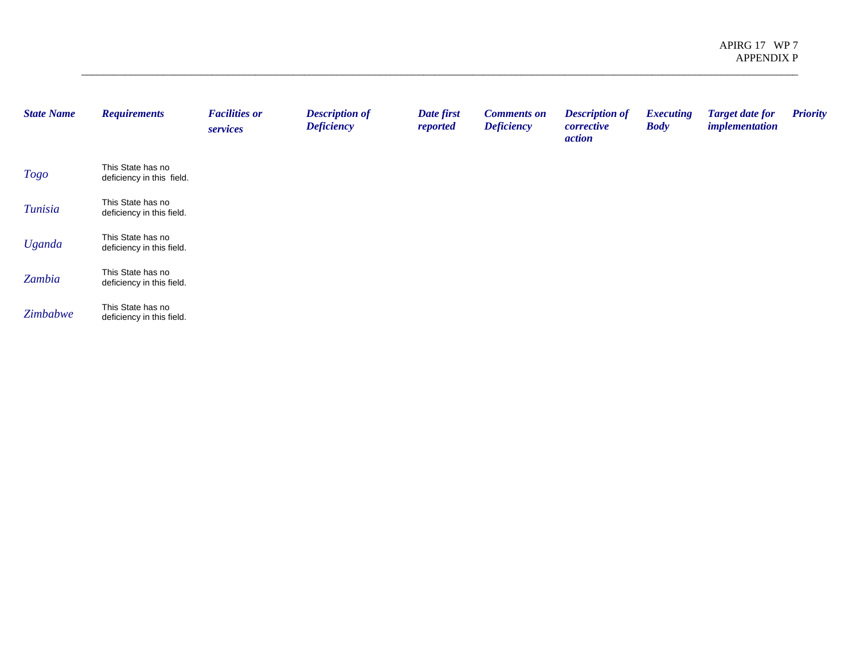| <b>State Name</b> | <b>Requirements</b>                            | <b>Facilities or</b><br>services | <b>Description of</b><br><b>Deficiency</b> | Date first<br>reported | <b>Comments on</b><br><b>Deficiency</b> | <b>Description of</b><br>corrective<br><i>action</i> | <b>Executing</b><br><b>Body</b> | <b>Target date for</b><br><i>implementation</i> | <b>Priority</b> |
|-------------------|------------------------------------------------|----------------------------------|--------------------------------------------|------------------------|-----------------------------------------|------------------------------------------------------|---------------------------------|-------------------------------------------------|-----------------|
| <b>Togo</b>       | This State has no<br>deficiency in this field. |                                  |                                            |                        |                                         |                                                      |                                 |                                                 |                 |
| Tunisia           | This State has no<br>deficiency in this field. |                                  |                                            |                        |                                         |                                                      |                                 |                                                 |                 |
| <b>Uganda</b>     | This State has no<br>deficiency in this field. |                                  |                                            |                        |                                         |                                                      |                                 |                                                 |                 |
| Zambia            | This State has no<br>deficiency in this field. |                                  |                                            |                        |                                         |                                                      |                                 |                                                 |                 |
| Zimbabwe          | This State has no<br>deficiency in this field. |                                  |                                            |                        |                                         |                                                      |                                 |                                                 |                 |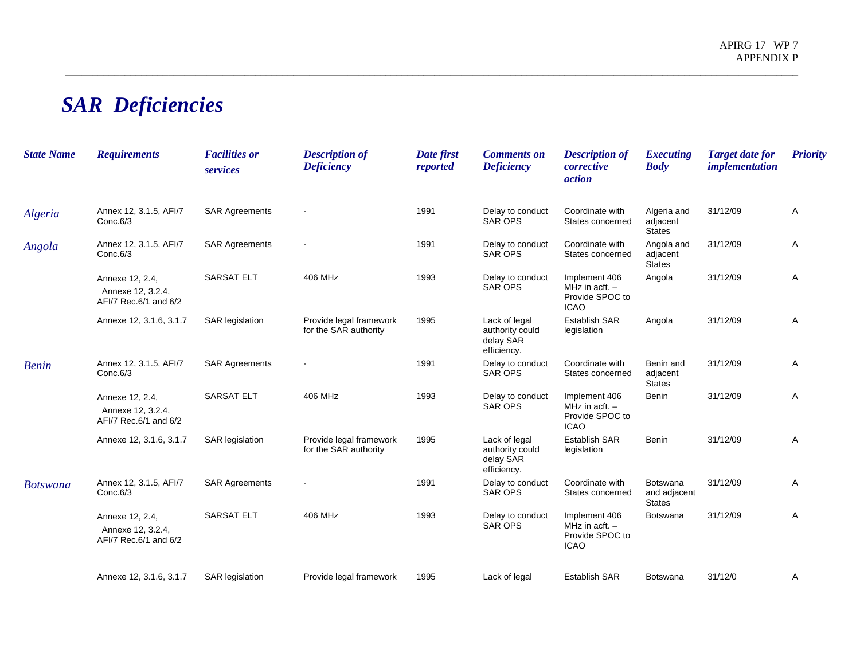## *SAR Deficiencies*

| <b>State Name</b> | <b>Requirements</b>                                           | <b>Facilities or</b><br>services | <b>Description of</b><br><b>Deficiency</b>       | Date first<br>reported | <b>Comments on</b><br><b>Deficiency</b>                      | <b>Description of</b><br>corrective<br>action                       | <i>Executing</i><br><b>Body</b>           | <b>Target date for</b><br><i>implementation</i> | <b>Priority</b> |
|-------------------|---------------------------------------------------------------|----------------------------------|--------------------------------------------------|------------------------|--------------------------------------------------------------|---------------------------------------------------------------------|-------------------------------------------|-------------------------------------------------|-----------------|
| Algeria           | Annex 12, 3.1.5, AFI/7<br>Conc.6/3                            | <b>SAR Agreements</b>            |                                                  | 1991                   | Delay to conduct<br><b>SAR OPS</b>                           | Coordinate with<br>States concerned                                 | Algeria and<br>adjacent<br><b>States</b>  | 31/12/09                                        | A               |
| Angola            | Annex 12, 3.1.5, AFI/7<br>Conc.6/3                            | <b>SAR Agreements</b>            |                                                  | 1991                   | Delay to conduct<br><b>SAR OPS</b>                           | Coordinate with<br>States concerned                                 | Angola and<br>adjacent<br><b>States</b>   | 31/12/09                                        | Α               |
|                   | Annexe 12, 2.4,<br>Annexe 12, 3.2.4,<br>AFI/7 Rec.6/1 and 6/2 | <b>SARSAT ELT</b>                | 406 MHz                                          | 1993                   | Delay to conduct<br><b>SAR OPS</b>                           | Implement 406<br>MHz in acft. $-$<br>Provide SPOC to<br><b>ICAO</b> | Angola                                    | 31/12/09                                        | Α               |
|                   | Annexe 12, 3.1.6, 3.1.7                                       | <b>SAR</b> legislation           | Provide legal framework<br>for the SAR authority | 1995                   | Lack of legal<br>authority could<br>delay SAR<br>efficiency. | <b>Establish SAR</b><br>legislation                                 | Angola                                    | 31/12/09                                        | Α               |
| <b>Benin</b>      | Annex 12, 3.1.5, AFI/7<br>Conc.6/3                            | <b>SAR Agreements</b>            |                                                  | 1991                   | Delay to conduct<br><b>SAR OPS</b>                           | Coordinate with<br>States concerned                                 | Benin and<br>adjacent<br><b>States</b>    | 31/12/09                                        | Α               |
|                   | Annexe 12, 2.4,<br>Annexe 12, 3.2.4,<br>AFI/7 Rec.6/1 and 6/2 | <b>SARSAT ELT</b>                | 406 MHz                                          | 1993                   | Delay to conduct<br><b>SAR OPS</b>                           | Implement 406<br>MHz in acft. $-$<br>Provide SPOC to<br><b>ICAO</b> | Benin                                     | 31/12/09                                        | Α               |
|                   | Annexe 12, 3.1.6, 3.1.7                                       | <b>SAR</b> legislation           | Provide legal framework<br>for the SAR authority | 1995                   | Lack of legal<br>authority could<br>delay SAR<br>efficiency. | <b>Establish SAR</b><br>legislation                                 | Benin                                     | 31/12/09                                        | Α               |
| <b>Botswana</b>   | Annex 12, 3.1.5, AFI/7<br>Conc.6/3                            | <b>SAR Agreements</b>            |                                                  | 1991                   | Delay to conduct<br>SAR OPS                                  | Coordinate with<br>States concerned                                 | Botswana<br>and adjacent<br><b>States</b> | 31/12/09                                        | Α               |
|                   | Annexe 12, 2.4,<br>Annexe 12, 3.2.4,<br>AFI/7 Rec.6/1 and 6/2 | <b>SARSAT ELT</b>                | 406 MHz                                          | 1993                   | Delay to conduct<br><b>SAR OPS</b>                           | Implement 406<br>MHz in acft. $-$<br>Provide SPOC to<br><b>ICAO</b> | Botswana                                  | 31/12/09                                        | A               |
|                   | Annexe 12, 3.1.6, 3.1.7                                       | <b>SAR</b> legislation           | Provide legal framework                          | 1995                   | Lack of legal                                                | <b>Establish SAR</b>                                                | Botswana                                  | 31/12/0                                         | Α               |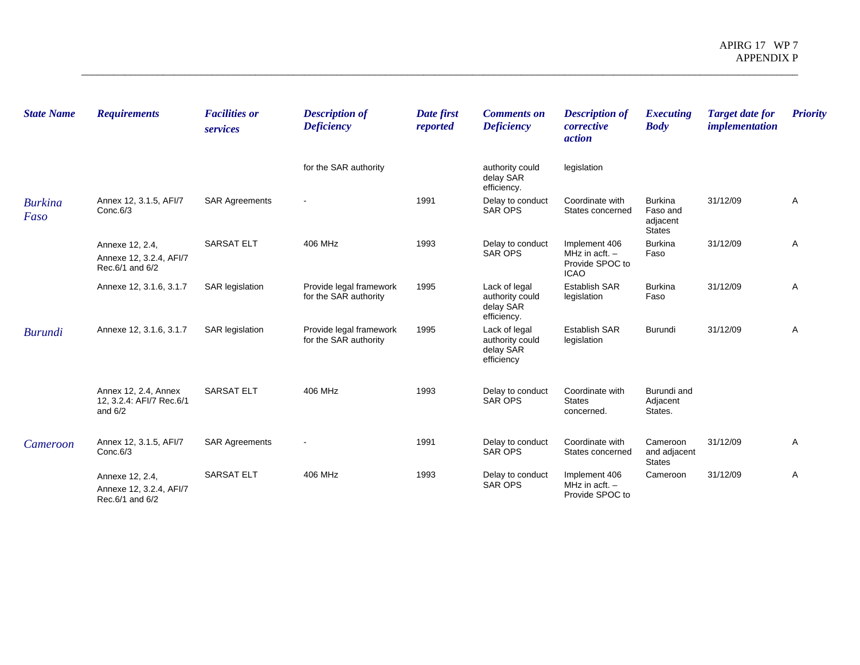| <b>State Name</b>      | <b>Requirements</b>                                           | <b>Facilities or</b><br>services | <b>Description of</b><br><b>Deficiency</b>       | Date first<br>reported | <b>Comments on</b><br><b>Deficiency</b>                      | <b>Description of</b><br>corrective<br><i>action</i>                | <b>Executing</b><br><b>Body</b>                         | <b>Target date for</b><br><i>implementation</i> | <b>Priority</b> |
|------------------------|---------------------------------------------------------------|----------------------------------|--------------------------------------------------|------------------------|--------------------------------------------------------------|---------------------------------------------------------------------|---------------------------------------------------------|-------------------------------------------------|-----------------|
|                        |                                                               |                                  | for the SAR authority                            |                        | authority could<br>delay SAR<br>efficiency.                  | legislation                                                         |                                                         |                                                 |                 |
| <b>Burkina</b><br>Faso | Annex 12, 3.1.5, AFI/7<br>Conc.6/3                            | <b>SAR Agreements</b>            |                                                  | 1991                   | Delay to conduct<br>SAR OPS                                  | Coordinate with<br>States concerned                                 | <b>Burkina</b><br>Faso and<br>adjacent<br><b>States</b> | 31/12/09                                        | Α               |
|                        | Annexe 12, 2.4,<br>Annexe 12, 3.2.4, AFI/7<br>Rec.6/1 and 6/2 | <b>SARSAT ELT</b>                | 406 MHz                                          | 1993                   | Delay to conduct<br><b>SAR OPS</b>                           | Implement 406<br>MHz in acft. $-$<br>Provide SPOC to<br><b>ICAO</b> | <b>Burkina</b><br>Faso                                  | 31/12/09                                        | Α               |
|                        | Annexe 12, 3.1.6, 3.1.7                                       | <b>SAR</b> legislation           | Provide legal framework<br>for the SAR authority | 1995                   | Lack of legal<br>authority could<br>delay SAR<br>efficiency. | <b>Establish SAR</b><br>legislation                                 | <b>Burkina</b><br>Faso                                  | 31/12/09                                        | Α               |
| <b>Burundi</b>         | Annexe 12, 3.1.6, 3.1.7                                       | <b>SAR</b> legislation           | Provide legal framework<br>for the SAR authority | 1995                   | Lack of legal<br>authority could<br>delay SAR<br>efficiency  | <b>Establish SAR</b><br>legislation                                 | Burundi                                                 | 31/12/09                                        | Α               |
|                        | Annex 12, 2.4, Annex<br>12, 3.2.4: AFI/7 Rec.6/1<br>and $6/2$ | <b>SARSAT ELT</b>                | 406 MHz                                          | 1993                   | Delay to conduct<br><b>SAR OPS</b>                           | Coordinate with<br><b>States</b><br>concerned.                      | Burundi and<br>Adjacent<br>States.                      |                                                 |                 |
| Cameroon               | Annex 12, 3.1.5, AFI/7<br>Conc.6/3                            | <b>SAR Agreements</b>            |                                                  | 1991                   | Delay to conduct<br><b>SAR OPS</b>                           | Coordinate with<br>States concerned                                 | Cameroon<br>and adjacent<br><b>States</b>               | 31/12/09                                        | Α               |
|                        | Annexe 12, 2.4,<br>Annexe 12, 3.2.4, AFI/7<br>Rec.6/1 and 6/2 | <b>SARSAT ELT</b>                | 406 MHz                                          | 1993                   | Delay to conduct<br><b>SAR OPS</b>                           | Implement 406<br>MHz in acft. $-$<br>Provide SPOC to                | Cameroon                                                | 31/12/09                                        | Α               |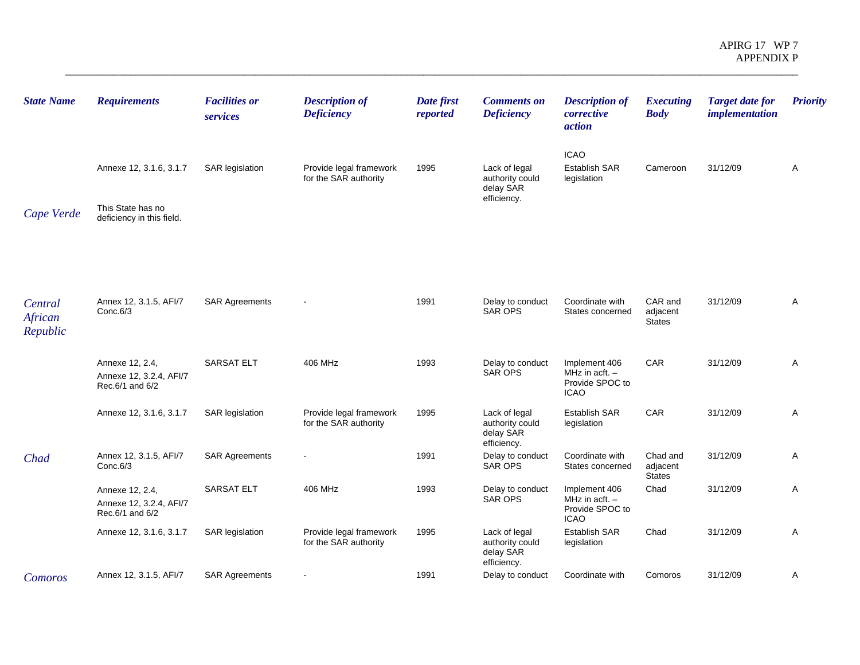| <b>State Name</b>              | <b>Requirements</b>                                                       | <b>Facilities or</b><br>services | <b>Description of</b><br><b>Deficiency</b>       | Date first<br>reported | <b>Comments on</b><br><b>Deficiency</b>                      | <b>Description of</b><br>corrective<br>action                       | <b>Executing</b><br><b>Body</b>       | <b>Target date for</b><br><i>implementation</i> | <b>Priority</b> |
|--------------------------------|---------------------------------------------------------------------------|----------------------------------|--------------------------------------------------|------------------------|--------------------------------------------------------------|---------------------------------------------------------------------|---------------------------------------|-------------------------------------------------|-----------------|
| Cape Verde                     | Annexe 12, 3.1.6, 3.1.7<br>This State has no<br>deficiency in this field. | <b>SAR</b> legislation           | Provide legal framework<br>for the SAR authority | 1995                   | Lack of legal<br>authority could<br>delay SAR<br>efficiency. | <b>ICAO</b><br><b>Establish SAR</b><br>legislation                  | Cameroon                              | 31/12/09                                        | Α               |
| Central<br>African<br>Republic | Annex 12, 3.1.5, AFI/7<br>Conc.6/3                                        | <b>SAR Agreements</b>            |                                                  | 1991                   | Delay to conduct<br><b>SAR OPS</b>                           | Coordinate with<br>States concerned                                 | CAR and<br>adjacent<br><b>States</b>  | 31/12/09                                        | Α               |
|                                | Annexe 12, 2.4,<br>Annexe 12, 3.2.4, AFI/7<br>Rec.6/1 and 6/2             | <b>SARSAT ELT</b>                | 406 MHz                                          | 1993                   | Delay to conduct<br><b>SAR OPS</b>                           | Implement 406<br>MHz in acft. $-$<br>Provide SPOC to<br><b>ICAO</b> | <b>CAR</b>                            | 31/12/09                                        | Α               |
|                                | Annexe 12, 3.1.6, 3.1.7                                                   | SAR legislation                  | Provide legal framework<br>for the SAR authority | 1995                   | Lack of legal<br>authority could<br>delay SAR<br>efficiency. | <b>Establish SAR</b><br>legislation                                 | CAR                                   | 31/12/09                                        | Α               |
| Chad                           | Annex 12, 3.1.5, AFI/7<br>Conc.6/3                                        | <b>SAR Agreements</b>            |                                                  | 1991                   | Delay to conduct<br><b>SAR OPS</b>                           | Coordinate with<br>States concerned                                 | Chad and<br>adjacent<br><b>States</b> | 31/12/09                                        | Α               |
|                                | Annexe 12, 2.4,<br>Annexe 12, 3.2.4, AFI/7<br>Rec.6/1 and 6/2             | <b>SARSAT ELT</b>                | 406 MHz                                          | 1993                   | Delay to conduct<br><b>SAR OPS</b>                           | Implement 406<br>MHz in acft. -<br>Provide SPOC to<br><b>ICAO</b>   | Chad                                  | 31/12/09                                        | Α               |
|                                | Annexe 12, 3.1.6, 3.1.7                                                   | SAR legislation                  | Provide legal framework<br>for the SAR authority | 1995                   | Lack of legal<br>authority could<br>delay SAR<br>efficiency. | Establish SAR<br>legislation                                        | Chad                                  | 31/12/09                                        | Α               |
| Comoros                        | Annex 12, 3.1.5, AFI/7                                                    | <b>SAR Agreements</b>            |                                                  | 1991                   | Delay to conduct                                             | Coordinate with                                                     | Comoros                               | 31/12/09                                        | Α               |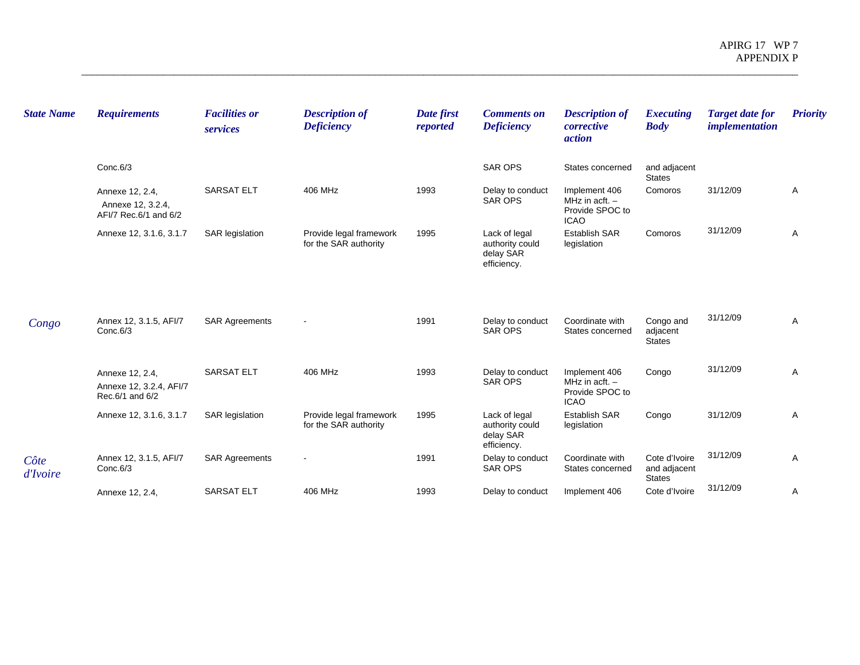| <b>State Name</b> | <b>Requirements</b>                                           | <b>Facilities or</b><br>services | <b>Description of</b><br><b>Deficiency</b>       | Date first<br>reported | <b>Comments on</b><br><b>Deficiency</b>                      | <b>Description of</b><br>corrective<br><i>action</i>                | <b>Executing</b><br><b>Body</b>                | <b>Target date for</b><br>implementation | <b>Priority</b> |
|-------------------|---------------------------------------------------------------|----------------------------------|--------------------------------------------------|------------------------|--------------------------------------------------------------|---------------------------------------------------------------------|------------------------------------------------|------------------------------------------|-----------------|
|                   | Conc.6/3                                                      |                                  |                                                  |                        | <b>SAR OPS</b>                                               | States concerned                                                    | and adjacent<br><b>States</b>                  |                                          |                 |
|                   | Annexe 12, 2.4,<br>Annexe 12, 3.2.4,<br>AFI/7 Rec.6/1 and 6/2 | <b>SARSAT ELT</b>                | 406 MHz                                          | 1993                   | Delay to conduct<br><b>SAR OPS</b>                           | Implement 406<br>MHz in acft. $-$<br>Provide SPOC to<br><b>ICAO</b> | Comoros                                        | 31/12/09                                 | Α               |
|                   | Annexe 12, 3.1.6, 3.1.7                                       | <b>SAR</b> legislation           | Provide legal framework<br>for the SAR authority | 1995                   | Lack of legal<br>authority could<br>delay SAR<br>efficiency. | <b>Establish SAR</b><br>legislation                                 | Comoros                                        | 31/12/09                                 | Α               |
| Congo             | Annex 12, 3.1.5, AFI/7<br>Conc.6/3                            | <b>SAR Agreements</b>            |                                                  | 1991                   | Delay to conduct<br><b>SAR OPS</b>                           | Coordinate with<br>States concerned                                 | Congo and<br>adjacent<br><b>States</b>         | 31/12/09                                 | $\mathsf{A}$    |
|                   | Annexe 12, 2.4,<br>Annexe 12, 3.2.4, AFI/7<br>Rec.6/1 and 6/2 | <b>SARSAT ELT</b>                | 406 MHz                                          | 1993                   | Delay to conduct<br><b>SAR OPS</b>                           | Implement 406<br>MHz in acft. $-$<br>Provide SPOC to<br><b>ICAO</b> | Congo                                          | 31/12/09                                 | A               |
|                   | Annexe 12, 3.1.6, 3.1.7                                       | <b>SAR</b> legislation           | Provide legal framework<br>for the SAR authority | 1995                   | Lack of legal<br>authority could<br>delay SAR<br>efficiency. | <b>Establish SAR</b><br>legislation                                 | Congo                                          | 31/12/09                                 | Α               |
| Côte<br>d'Ivoire  | Annex 12, 3.1.5, AFI/7<br>Conc.6/3                            | <b>SAR Agreements</b>            |                                                  | 1991                   | Delay to conduct<br><b>SAR OPS</b>                           | Coordinate with<br>States concerned                                 | Cote d'Ivoire<br>and adjacent<br><b>States</b> | 31/12/09                                 | Α               |
|                   | Annexe 12, 2.4,                                               | <b>SARSAT ELT</b>                | 406 MHz                                          | 1993                   | Delay to conduct                                             | Implement 406                                                       | Cote d'Ivoire                                  | 31/12/09                                 | Α               |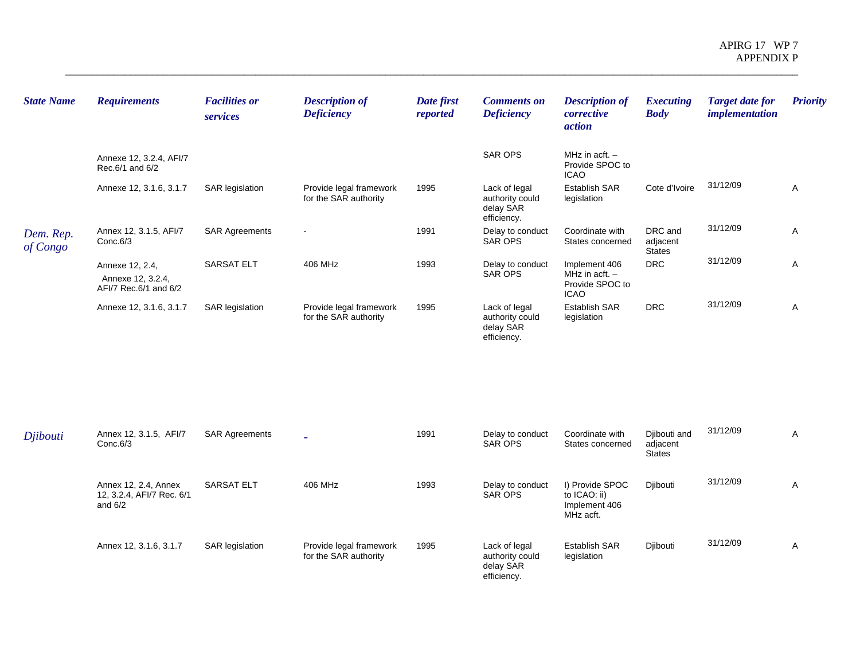| <b>State Name</b>     | <b>Requirements</b>                                           | <b>Facilities or</b><br>services | <b>Description of</b><br><b>Deficiency</b>       | Date first<br>reported | <b>Comments on</b><br><b>Deficiency</b>                      | <b>Description of</b><br>corrective<br><i>action</i>                | <b>Executing</b><br><b>Body</b>      | <b>Target date for</b><br><i>implementation</i> | <b>Priority</b> |
|-----------------------|---------------------------------------------------------------|----------------------------------|--------------------------------------------------|------------------------|--------------------------------------------------------------|---------------------------------------------------------------------|--------------------------------------|-------------------------------------------------|-----------------|
|                       | Annexe 12, 3.2.4, AFI/7<br>Rec.6/1 and 6/2                    |                                  |                                                  |                        | <b>SAR OPS</b>                                               | MHz in $actt. -$<br>Provide SPOC to<br><b>ICAO</b>                  |                                      |                                                 |                 |
|                       | Annexe 12, 3.1.6, 3.1.7                                       | SAR legislation                  | Provide legal framework<br>for the SAR authority | 1995                   | Lack of legal<br>authority could<br>delay SAR<br>efficiency. | <b>Establish SAR</b><br>legislation                                 | Cote d'Ivoire                        | 31/12/09                                        | A               |
| Dem. Rep.<br>of Congo | Annex 12, 3.1.5, AFI/7<br>Conc.6/3                            | <b>SAR Agreements</b>            | $\overline{\phantom{a}}$                         | 1991                   | Delay to conduct<br>SAR OPS                                  | Coordinate with<br>States concerned                                 | DRC and<br>adjacent<br><b>States</b> | 31/12/09                                        | Α               |
|                       | Annexe 12, 2.4,<br>Annexe 12, 3.2.4,<br>AFI/7 Rec.6/1 and 6/2 | <b>SARSAT ELT</b>                | 406 MHz                                          | 1993                   | Delay to conduct<br>SAR OPS                                  | Implement 406<br>MHz in acft. $-$<br>Provide SPOC to<br><b>ICAO</b> | <b>DRC</b>                           | 31/12/09                                        | Α               |
|                       | Annexe 12, 3.1.6, 3.1.7                                       | SAR legislation                  | Provide legal framework<br>for the SAR authority | 1995                   | Lack of legal<br>authority could<br>delay SAR<br>efficiency. | <b>Establish SAR</b><br>legislation                                 | <b>DRC</b>                           | 31/12/09                                        | Α               |
|                       |                                                               |                                  |                                                  |                        |                                                              |                                                                     |                                      |                                                 |                 |
|                       |                                                               |                                  |                                                  |                        |                                                              |                                                                     |                                      | 24/12/00                                        |                 |

| Djibouti | Annex 12, 3.1.5, AFI/7<br>Conc.6/3                             | <b>SAR Agreements</b>  |                                                  | 1991 | Delay to conduct<br>SAR OPS                                  | Coordinate with<br>States concerned                           | Djibouti and<br>adjacent<br><b>States</b> | 31/12/09 | A |
|----------|----------------------------------------------------------------|------------------------|--------------------------------------------------|------|--------------------------------------------------------------|---------------------------------------------------------------|-------------------------------------------|----------|---|
|          | Annex 12, 2.4, Annex<br>12, 3.2.4, AFI/7 Rec. 6/1<br>and $6/2$ | <b>SARSAT ELT</b>      | 406 MHz                                          | 1993 | Delay to conduct<br>SAR OPS                                  | I) Provide SPOC<br>to ICAO: ii)<br>Implement 406<br>MHz acft. | Diibouti                                  | 31/12/09 | A |
|          | Annex 12, 3.1.6, 3.1.7                                         | <b>SAR</b> legislation | Provide legal framework<br>for the SAR authority | 1995 | Lack of legal<br>authority could<br>delay SAR<br>efficiency. | <b>Establish SAR</b><br>legislation                           | Diibouti                                  | 31/12/09 | A |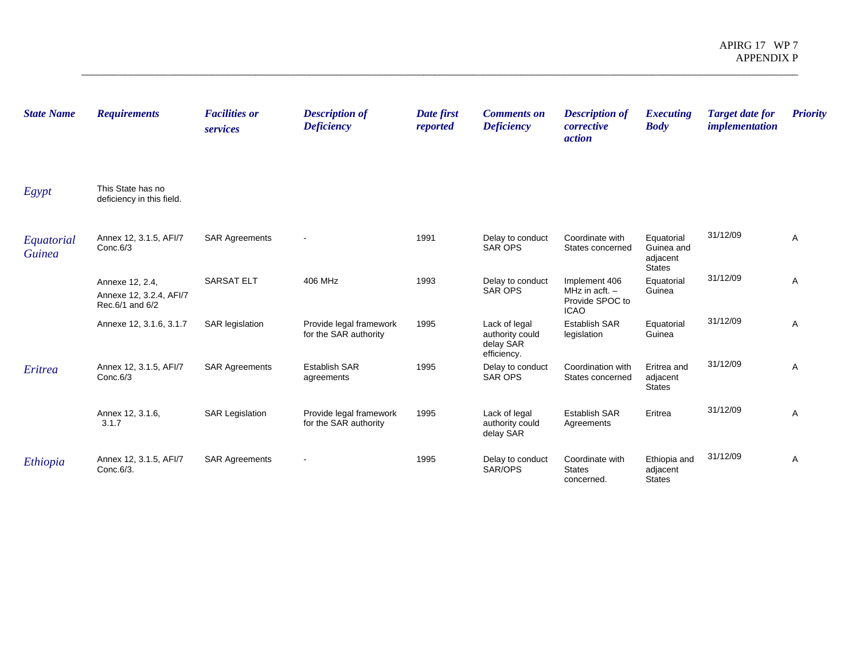| <b>State Name</b>           | <b>Requirements</b>                                           | <b>Facilities or</b><br>services | <b>Description of</b><br><b>Deficiency</b>       | Date first<br>reported | <b>Comments on</b><br><b>Deficiency</b>                      | <b>Description of</b><br>corrective<br><i>action</i>                | <b>Executing</b><br><b>Body</b>                       | <b>Target date for</b><br><i>implementation</i> | <b>Priority</b> |
|-----------------------------|---------------------------------------------------------------|----------------------------------|--------------------------------------------------|------------------------|--------------------------------------------------------------|---------------------------------------------------------------------|-------------------------------------------------------|-------------------------------------------------|-----------------|
| Egypt                       | This State has no<br>deficiency in this field.                |                                  |                                                  |                        |                                                              |                                                                     |                                                       |                                                 |                 |
| Equatorial<br><b>Guinea</b> | Annex 12, 3.1.5, AFI/7<br>Conc.6/3                            | <b>SAR Agreements</b>            |                                                  | 1991                   | Delay to conduct<br><b>SAR OPS</b>                           | Coordinate with<br>States concerned                                 | Equatorial<br>Guinea and<br>adjacent<br><b>States</b> | 31/12/09                                        | Α               |
|                             | Annexe 12, 2.4,<br>Annexe 12, 3.2.4, AFI/7<br>Rec.6/1 and 6/2 | <b>SARSAT ELT</b>                | 406 MHz                                          | 1993                   | Delay to conduct<br><b>SAR OPS</b>                           | Implement 406<br>MHz in $actt. -$<br>Provide SPOC to<br><b>ICAO</b> | Equatorial<br>Guinea                                  | 31/12/09                                        | Α               |
|                             | Annexe 12, 3.1.6, 3.1.7                                       | SAR legislation                  | Provide legal framework<br>for the SAR authority | 1995                   | Lack of legal<br>authority could<br>delay SAR<br>efficiency. | <b>Establish SAR</b><br>legislation                                 | Equatorial<br>Guinea                                  | 31/12/09                                        | Α               |
| Eritrea                     | Annex 12, 3.1.5, AFI/7<br>Conc.6/3                            | <b>SAR Agreements</b>            | <b>Establish SAR</b><br>agreements               | 1995                   | Delay to conduct<br><b>SAR OPS</b>                           | Coordination with<br>States concerned                               | Eritrea and<br>adjacent<br><b>States</b>              | 31/12/09                                        | Α               |
|                             | Annex 12, 3.1.6,<br>3.1.7                                     | <b>SAR Legislation</b>           | Provide legal framework<br>for the SAR authority | 1995                   | Lack of legal<br>authority could<br>delay SAR                | <b>Establish SAR</b><br>Agreements                                  | Eritrea                                               | 31/12/09                                        | Α               |
| Ethiopia                    | Annex 12, 3.1.5, AFI/7<br>Conc.6/3.                           | <b>SAR Agreements</b>            | $\overline{\phantom{a}}$                         | 1995                   | Delay to conduct<br>SAR/OPS                                  | Coordinate with<br><b>States</b><br>concerned.                      | Ethiopia and<br>adjacent<br><b>States</b>             | 31/12/09                                        | Α               |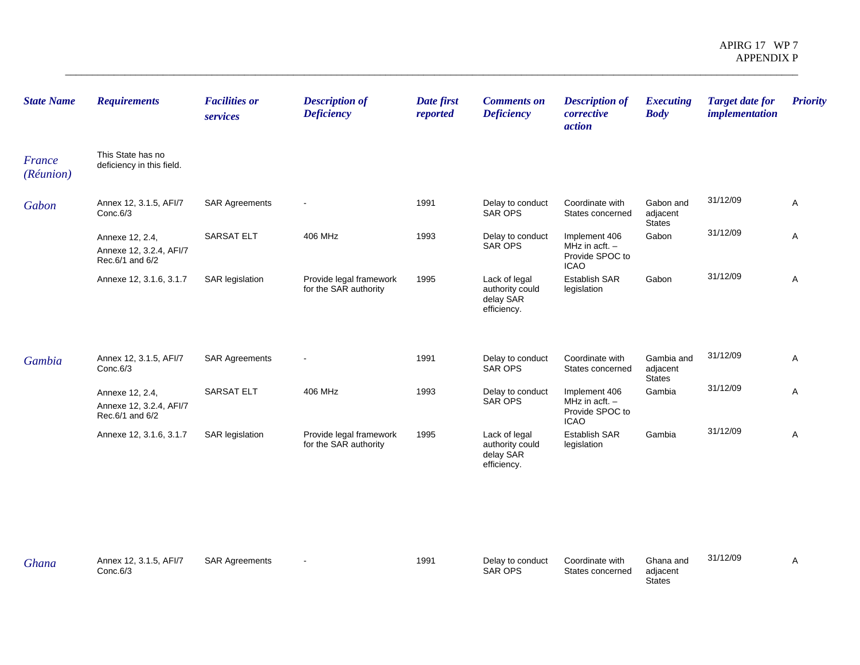| <b>State Name</b>   | <b>Requirements</b>                                           | <b>Facilities or</b><br>services | <b>Description of</b><br><b>Deficiency</b>       | Date first<br>reported | <b>Comments on</b><br><b>Deficiency</b>                      | <b>Description of</b><br>corrective<br>action                       | <b>Executing</b><br><b>Body</b>        | <b>Target date for</b><br><i>implementation</i> | <b>Priority</b> |
|---------------------|---------------------------------------------------------------|----------------------------------|--------------------------------------------------|------------------------|--------------------------------------------------------------|---------------------------------------------------------------------|----------------------------------------|-------------------------------------------------|-----------------|
| France<br>(Réunion) | This State has no<br>deficiency in this field.                |                                  |                                                  |                        |                                                              |                                                                     |                                        |                                                 |                 |
| Gabon               | Annex 12, 3.1.5, AFI/7<br>Conc.6/3                            | <b>SAR Agreements</b>            |                                                  | 1991                   | Delay to conduct<br>SAR OPS                                  | Coordinate with<br>States concerned                                 | Gabon and<br>adjacent<br><b>States</b> | 31/12/09                                        | Α               |
|                     | Annexe 12, 2.4,<br>Annexe 12, 3.2.4, AFI/7<br>Rec.6/1 and 6/2 | <b>SARSAT ELT</b>                | 406 MHz                                          | 1993                   | Delay to conduct<br>SAR OPS                                  | Implement 406<br>MHz in $actt. -$<br>Provide SPOC to<br><b>ICAO</b> | Gabon                                  | 31/12/09                                        | Α               |
|                     | Annexe 12, 3.1.6, 3.1.7                                       | <b>SAR</b> legislation           | Provide legal framework<br>for the SAR authority | 1995                   | Lack of legal<br>authority could<br>delay SAR<br>efficiency. | <b>Establish SAR</b><br>legislation                                 | Gabon                                  | 31/12/09                                        | Α               |
| Gambia              | Annex 12, 3.1.5, AFI/7<br>Conc.6/3                            | <b>SAR Agreements</b>            | $\sim$                                           | 1991                   | Delay to conduct<br>SAR OPS                                  | Coordinate with<br>States concerned                                 | Gambia and<br>adjacent<br>States       | 31/12/09                                        | Α               |
|                     | Annexe 12, 2.4,<br>Annexe 12, 3.2.4, AFI/7<br>Rec.6/1 and 6/2 | SARSAT ELT                       | 406 MHz                                          | 1993                   | Delay to conduct<br>SAR OPS                                  | Implement 406<br>MHz in $actt. -$<br>Provide SPOC to<br><b>ICAO</b> | Gambia                                 | 31/12/09                                        | Α               |
|                     | Annexe 12, 3.1.6, 3.1.7                                       | <b>SAR legislation</b>           | Provide legal framework<br>for the SAR authority | 1995                   | Lack of legal<br>authority could<br>delay SAR<br>efficiency. | Establish SAR<br>legislation                                        | Gambia                                 | 31/12/09                                        | Α               |
|                     |                                                               |                                  |                                                  |                        |                                                              |                                                                     |                                        |                                                 |                 |

| Ghana | Annex 12, 3.1.5, AFI/7<br>Conc.6/3 | <b>SAR Agreements</b> | $\overline{\phantom{0}}$ | 1991 | Delay to conduct<br><b>SAR OPS</b> | Coordinate with<br>States concerned | Ghana and<br>adiacent | 31/12/09 |  |
|-------|------------------------------------|-----------------------|--------------------------|------|------------------------------------|-------------------------------------|-----------------------|----------|--|
|       |                                    |                       |                          |      |                                    |                                     | <b>States</b>         |          |  |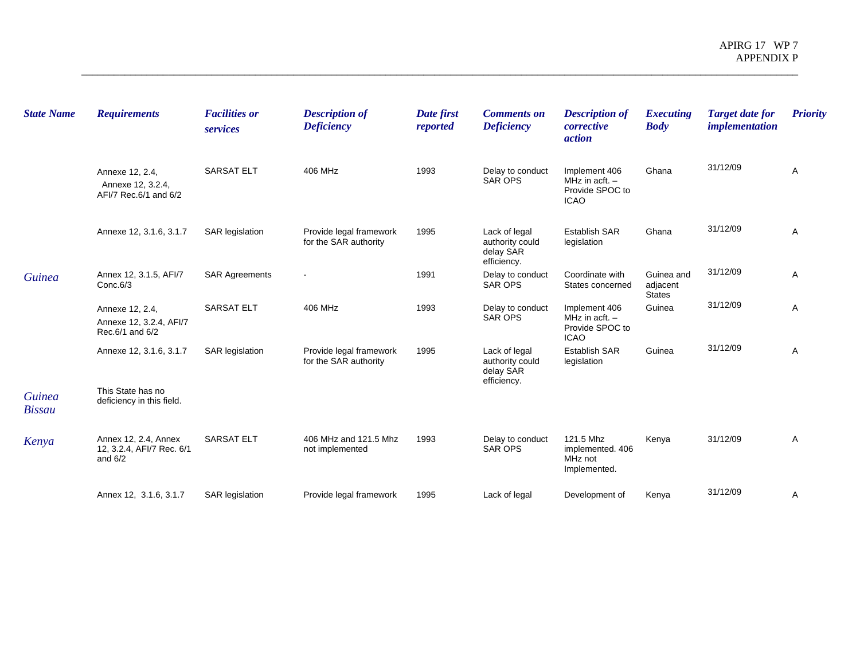| <b>State Name</b>              | <b>Requirements</b>                                            | <b>Facilities or</b><br>services | <b>Description of</b><br><b>Deficiency</b>       | Date first<br>reported | <b>Comments on</b><br><b>Deficiency</b>                      | <b>Description of</b><br>corrective<br><i>action</i>                | <b>Executing</b><br><b>Body</b>         | <b>Target date for</b><br><i>implementation</i> | <b>Priority</b> |
|--------------------------------|----------------------------------------------------------------|----------------------------------|--------------------------------------------------|------------------------|--------------------------------------------------------------|---------------------------------------------------------------------|-----------------------------------------|-------------------------------------------------|-----------------|
|                                | Annexe 12, 2.4,<br>Annexe 12, 3.2.4,<br>AFI/7 Rec.6/1 and 6/2  | <b>SARSAT ELT</b>                | 406 MHz                                          | 1993                   | Delay to conduct<br><b>SAR OPS</b>                           | Implement 406<br>MHz in acft. $-$<br>Provide SPOC to<br><b>ICAO</b> | Ghana                                   | 31/12/09                                        | A               |
|                                | Annexe 12, 3.1.6, 3.1.7                                        | <b>SAR legislation</b>           | Provide legal framework<br>for the SAR authority | 1995                   | Lack of legal<br>authority could<br>delay SAR<br>efficiency. | <b>Establish SAR</b><br>legislation                                 | Ghana                                   | 31/12/09                                        | Α               |
| <b>Guinea</b>                  | Annex 12, 3.1.5, AFI/7<br>Conc.6/3                             | <b>SAR Agreements</b>            |                                                  | 1991                   | Delay to conduct<br><b>SAR OPS</b>                           | Coordinate with<br>States concerned                                 | Guinea and<br>adjacent<br><b>States</b> | 31/12/09                                        | Α               |
|                                | Annexe 12, 2.4,<br>Annexe 12, 3.2.4, AFI/7<br>Rec.6/1 and 6/2  | <b>SARSAT ELT</b>                | 406 MHz                                          | 1993                   | Delay to conduct<br><b>SAR OPS</b>                           | Implement 406<br>MHz in acft. $-$<br>Provide SPOC to<br><b>ICAO</b> | Guinea                                  | 31/12/09                                        | Α               |
|                                | Annexe 12, 3.1.6, 3.1.7                                        | <b>SAR</b> legislation           | Provide legal framework<br>for the SAR authority | 1995                   | Lack of legal<br>authority could<br>delay SAR<br>efficiency. | <b>Establish SAR</b><br>legislation                                 | Guinea                                  | 31/12/09                                        | Α               |
| <b>Guinea</b><br><b>Bissau</b> | This State has no<br>deficiency in this field.                 |                                  |                                                  |                        |                                                              |                                                                     |                                         |                                                 |                 |
| Kenya                          | Annex 12, 2.4, Annex<br>12, 3.2.4, AFI/7 Rec. 6/1<br>and $6/2$ | <b>SARSAT ELT</b>                | 406 MHz and 121.5 Mhz<br>not implemented         | 1993                   | Delay to conduct<br><b>SAR OPS</b>                           | 121.5 Mhz<br>implemented. 406<br>MHz not<br>Implemented.            | Kenya                                   | 31/12/09                                        | Α               |
|                                | Annex 12, 3.1.6, 3.1.7                                         | <b>SAR</b> legislation           | Provide legal framework                          | 1995                   | Lack of legal                                                | Development of                                                      | Kenya                                   | 31/12/09                                        | Α               |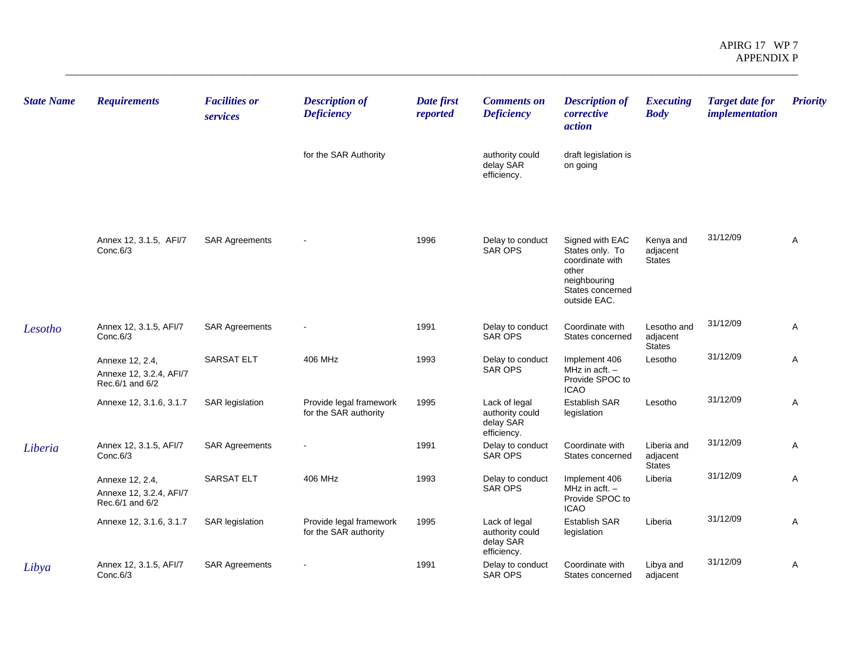| <b>State Name</b> | <b>Requirements</b>                                           | <b>Facilities or</b><br>services | <b>Description of</b><br><b>Deficiency</b>       | Date first<br>reported | <b>Comments on</b><br><b>Deficiency</b>                      | <b>Description of</b><br>corrective<br><i>action</i>                                                               | <b>Executing</b><br><b>Body</b>          | <b>Target date for</b><br><i>implementation</i> | <b>Priority</b> |
|-------------------|---------------------------------------------------------------|----------------------------------|--------------------------------------------------|------------------------|--------------------------------------------------------------|--------------------------------------------------------------------------------------------------------------------|------------------------------------------|-------------------------------------------------|-----------------|
|                   |                                                               |                                  | for the SAR Authority                            |                        | authority could<br>delay SAR<br>efficiency.                  | draft legislation is<br>on going                                                                                   |                                          |                                                 |                 |
|                   | Annex 12, 3.1.5, AFI/7<br>Conc.6/3                            | <b>SAR Agreements</b>            |                                                  | 1996                   | Delay to conduct<br><b>SAR OPS</b>                           | Signed with EAC<br>States only. To<br>coordinate with<br>other<br>neighbouring<br>States concerned<br>outside EAC. | Kenya and<br>adjacent<br><b>States</b>   | 31/12/09                                        | Α               |
| Lesotho           | Annex 12, 3.1.5, AFI/7<br>Conc.6/3                            | <b>SAR Agreements</b>            |                                                  | 1991                   | Delay to conduct<br><b>SAR OPS</b>                           | Coordinate with<br>States concerned                                                                                | Lesotho and<br>adjacent<br><b>States</b> | 31/12/09                                        | Α               |
|                   | Annexe 12, 2.4,<br>Annexe 12, 3.2.4, AFI/7<br>Rec.6/1 and 6/2 | <b>SARSAT ELT</b>                | 406 MHz                                          | 1993                   | Delay to conduct<br>SAR OPS                                  | Implement 406<br>MHz in acft. $-$<br>Provide SPOC to<br><b>ICAO</b>                                                | Lesotho                                  | 31/12/09                                        | A               |
|                   | Annexe 12, 3.1.6, 3.1.7                                       | <b>SAR</b> legislation           | Provide legal framework<br>for the SAR authority | 1995                   | Lack of legal<br>authority could<br>delay SAR<br>efficiency. | <b>Establish SAR</b><br>legislation                                                                                | Lesotho                                  | 31/12/09                                        | Α               |
| Liberia           | Annex 12, 3.1.5, AFI/7<br>Conc.6/3                            | <b>SAR Agreements</b>            |                                                  | 1991                   | Delay to conduct<br>SAR OPS                                  | Coordinate with<br>States concerned                                                                                | Liberia and<br>adjacent<br><b>States</b> | 31/12/09                                        | A               |
|                   | Annexe 12, 2.4,<br>Annexe 12, 3.2.4, AFI/7<br>Rec.6/1 and 6/2 | <b>SARSAT ELT</b>                | 406 MHz                                          | 1993                   | Delay to conduct<br><b>SAR OPS</b>                           | Implement 406<br>MHz in $act. -$<br>Provide SPOC to<br><b>ICAO</b>                                                 | Liberia                                  | 31/12/09                                        | A               |
|                   | Annexe 12, 3.1.6, 3.1.7                                       | <b>SAR</b> legislation           | Provide legal framework<br>for the SAR authority | 1995                   | Lack of legal<br>authority could<br>delay SAR<br>efficiency. | <b>Establish SAR</b><br>legislation                                                                                | Liberia                                  | 31/12/09                                        | A               |
| Libya             | Annex 12, 3.1.5, AFI/7<br>Conc.6/3                            | <b>SAR Agreements</b>            | $\blacksquare$                                   | 1991                   | Delay to conduct<br><b>SAR OPS</b>                           | Coordinate with<br>States concerned                                                                                | Libya and<br>adjacent                    | 31/12/09                                        | Α               |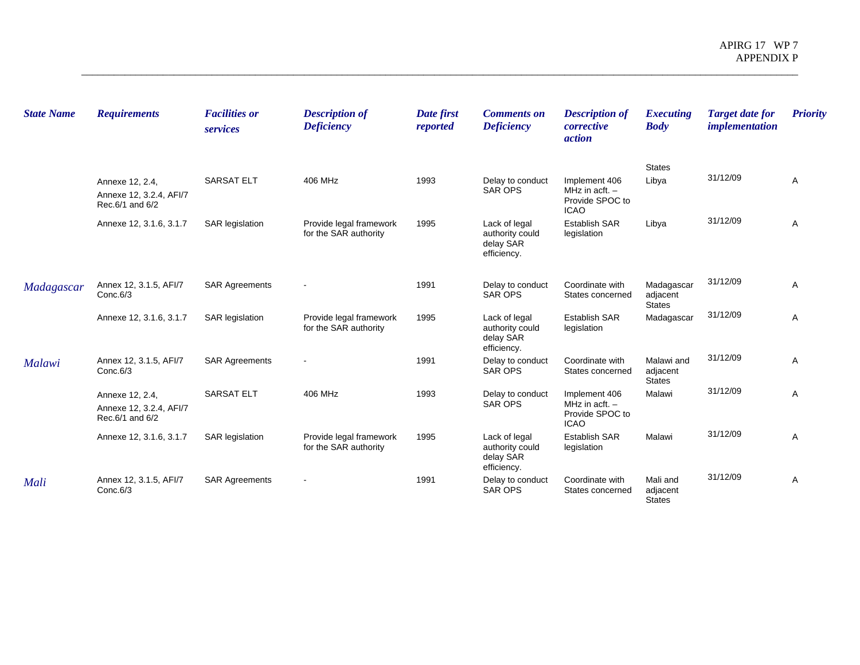| <b>State Name</b> | <b>Requirements</b>                                           | <b>Facilities or</b><br>services | <b>Description of</b><br><b>Deficiency</b>       | Date first<br>reported | <b>Comments on</b><br><b>Deficiency</b>                      | <b>Description of</b><br>corrective<br><i>action</i>                | <i>Executing</i><br><b>Body</b>         | <b>Target date for</b><br><i>implementation</i> | <b>Priority</b> |
|-------------------|---------------------------------------------------------------|----------------------------------|--------------------------------------------------|------------------------|--------------------------------------------------------------|---------------------------------------------------------------------|-----------------------------------------|-------------------------------------------------|-----------------|
|                   | Annexe 12, 2.4,<br>Annexe 12, 3.2.4, AFI/7<br>Rec.6/1 and 6/2 | <b>SARSAT ELT</b>                | 406 MHz                                          | 1993                   | Delay to conduct<br><b>SAR OPS</b>                           | Implement 406<br>MHz in acft. $-$<br>Provide SPOC to                | <b>States</b><br>Libya                  | 31/12/09                                        | Α               |
|                   | Annexe 12, 3.1.6, 3.1.7                                       | <b>SAR</b> legislation           | Provide legal framework<br>for the SAR authority | 1995                   | Lack of legal<br>authority could<br>delay SAR<br>efficiency. | <b>ICAO</b><br><b>Establish SAR</b><br>legislation                  | Libya                                   | 31/12/09                                        | Α               |
| Madagascar        | Annex 12, 3.1.5, AFI/7<br>Conc.6/3                            | <b>SAR Agreements</b>            |                                                  | 1991                   | Delay to conduct<br>SAR OPS                                  | Coordinate with<br>States concerned                                 | Madagascar<br>adjacent<br><b>States</b> | 31/12/09                                        | A               |
|                   | Annexe 12, 3.1.6, 3.1.7                                       | <b>SAR</b> legislation           | Provide legal framework<br>for the SAR authority | 1995                   | Lack of legal<br>authority could<br>delay SAR<br>efficiency. | <b>Establish SAR</b><br>legislation                                 | Madagascar                              | 31/12/09                                        | Α               |
| <b>Malawi</b>     | Annex 12, 3.1.5, AFI/7<br>Conc.6/3                            | <b>SAR Agreements</b>            |                                                  | 1991                   | Delay to conduct<br><b>SAR OPS</b>                           | Coordinate with<br>States concerned                                 | Malawi and<br>adjacent<br><b>States</b> | 31/12/09                                        | Α               |
|                   | Annexe 12, 2.4,<br>Annexe 12, 3.2.4, AFI/7<br>Rec.6/1 and 6/2 | <b>SARSAT ELT</b>                | 406 MHz                                          | 1993                   | Delay to conduct<br><b>SAR OPS</b>                           | Implement 406<br>MHz in $actt. -$<br>Provide SPOC to<br><b>ICAO</b> | Malawi                                  | 31/12/09                                        | Α               |
|                   | Annexe 12, 3.1.6, 3.1.7                                       | <b>SAR</b> legislation           | Provide legal framework<br>for the SAR authority | 1995                   | Lack of legal<br>authority could<br>delay SAR<br>efficiency. | <b>Establish SAR</b><br>legislation                                 | Malawi                                  | 31/12/09                                        | A               |
| Mali              | Annex 12, 3.1.5, AFI/7<br>Conc.6/3                            | <b>SAR Agreements</b>            |                                                  | 1991                   | Delay to conduct<br><b>SAR OPS</b>                           | Coordinate with<br>States concerned                                 | Mali and<br>adjacent<br><b>States</b>   | 31/12/09                                        | A               |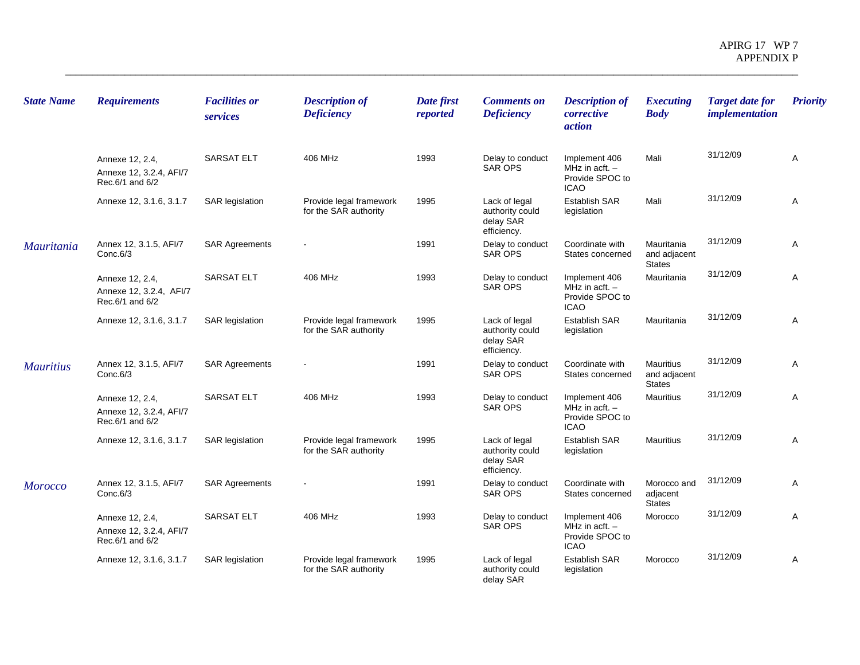| <b>State Name</b> | <b>Requirements</b>                                           | <b>Facilities or</b><br>services | <b>Description of</b><br><b>Deficiency</b>       | Date first<br>reported | <b>Comments on</b><br><b>Deficiency</b>                      | <b>Description of</b><br>corrective<br>action                       | <b>Executing</b><br><b>Body</b>             | <b>Target date for</b><br><i>implementation</i> | <b>Priority</b> |
|-------------------|---------------------------------------------------------------|----------------------------------|--------------------------------------------------|------------------------|--------------------------------------------------------------|---------------------------------------------------------------------|---------------------------------------------|-------------------------------------------------|-----------------|
|                   | Annexe 12, 2.4,<br>Annexe 12, 3.2.4, AFI/7<br>Rec.6/1 and 6/2 | <b>SARSAT ELT</b>                | 406 MHz                                          | 1993                   | Delay to conduct<br><b>SAR OPS</b>                           | Implement 406<br>MHz in acft. $-$<br>Provide SPOC to<br><b>ICAO</b> | Mali                                        | 31/12/09                                        | Α               |
|                   | Annexe 12, 3.1.6, 3.1.7                                       | <b>SAR</b> legislation           | Provide legal framework<br>for the SAR authority | 1995                   | Lack of legal<br>authority could<br>delay SAR<br>efficiency. | Establish SAR<br>legislation                                        | Mali                                        | 31/12/09                                        | Α               |
| <b>Mauritania</b> | Annex 12, 3.1.5, AFI/7<br>Conc.6/3                            | <b>SAR Agreements</b>            |                                                  | 1991                   | Delay to conduct<br><b>SAR OPS</b>                           | Coordinate with<br>States concerned                                 | Mauritania<br>and adjacent<br><b>States</b> | 31/12/09                                        | A               |
|                   | Annexe 12, 2.4,<br>Annexe 12, 3.2.4, AFI/7<br>Rec.6/1 and 6/2 | <b>SARSAT ELT</b>                | 406 MHz                                          | 1993                   | Delay to conduct<br><b>SAR OPS</b>                           | Implement 406<br>MHz in acft. $-$<br>Provide SPOC to<br><b>ICAO</b> | Mauritania                                  | 31/12/09                                        | A               |
|                   | Annexe 12, 3.1.6, 3.1.7                                       | <b>SAR</b> legislation           | Provide legal framework<br>for the SAR authority | 1995                   | Lack of legal<br>authority could<br>delay SAR<br>efficiency. | <b>Establish SAR</b><br>legislation                                 | Mauritania                                  | 31/12/09                                        | Α               |
| <b>Mauritius</b>  | Annex 12, 3.1.5, AFI/7<br>Conc.6/3                            | <b>SAR Agreements</b>            |                                                  | 1991                   | Delay to conduct<br><b>SAR OPS</b>                           | Coordinate with<br>States concerned                                 | Mauritius<br>and adjacent<br><b>States</b>  | 31/12/09                                        | Α               |
|                   | Annexe 12, 2.4,<br>Annexe 12, 3.2.4, AFI/7<br>Rec.6/1 and 6/2 | <b>SARSAT ELT</b>                | 406 MHz                                          | 1993                   | Delay to conduct<br>SAR OPS                                  | Implement 406<br>MHz in acft. -<br>Provide SPOC to<br><b>ICAO</b>   | <b>Mauritius</b>                            | 31/12/09                                        | A               |
|                   | Annexe 12, 3.1.6, 3.1.7                                       | <b>SAR</b> legislation           | Provide legal framework<br>for the SAR authority | 1995                   | Lack of legal<br>authority could<br>delay SAR<br>efficiency. | <b>Establish SAR</b><br>legislation                                 | <b>Mauritius</b>                            | 31/12/09                                        | Α               |
| <b>Morocco</b>    | Annex 12, 3.1.5, AFI/7<br>Conc.6/3                            | <b>SAR Agreements</b>            |                                                  | 1991                   | Delay to conduct<br><b>SAR OPS</b>                           | Coordinate with<br>States concerned                                 | Morocco and<br>adjacent<br><b>States</b>    | 31/12/09                                        | Α               |
|                   | Annexe 12, 2.4,<br>Annexe 12, 3.2.4, AFI/7<br>Rec.6/1 and 6/2 | <b>SARSAT ELT</b>                | 406 MHz                                          | 1993                   | Delay to conduct<br><b>SAR OPS</b>                           | Implement 406<br>MHz in acft. -<br>Provide SPOC to<br><b>ICAO</b>   | Morocco                                     | 31/12/09                                        | A               |
|                   | Annexe 12, 3.1.6, 3.1.7                                       | <b>SAR</b> legislation           | Provide legal framework<br>for the SAR authority | 1995                   | Lack of legal<br>authority could<br>delay SAR                | <b>Establish SAR</b><br>legislation                                 | Morocco                                     | 31/12/09                                        | Α               |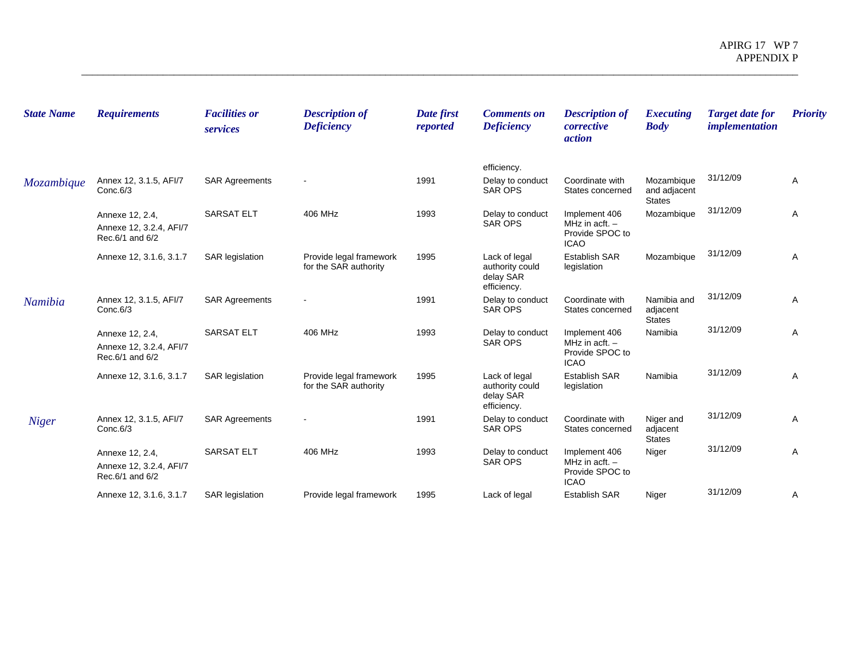| <b>State Name</b> | <b>Requirements</b>                                           | <b>Facilities or</b><br>services | <b>Description of</b><br><b>Deficiency</b>       | Date first<br>reported | <b>Comments on</b><br><b>Deficiency</b>                      | <b>Description of</b><br>corrective<br><i>action</i>                | <i>Executing</i><br><b>Body</b>             | <b>Target date for</b><br><i>implementation</i> | <b>Priority</b> |
|-------------------|---------------------------------------------------------------|----------------------------------|--------------------------------------------------|------------------------|--------------------------------------------------------------|---------------------------------------------------------------------|---------------------------------------------|-------------------------------------------------|-----------------|
|                   |                                                               |                                  |                                                  |                        | efficiency.                                                  |                                                                     |                                             |                                                 |                 |
| Mozambique        | Annex 12, 3.1.5, AFI/7<br>Conc.6/3                            | <b>SAR Agreements</b>            |                                                  | 1991                   | Delay to conduct<br><b>SAR OPS</b>                           | Coordinate with<br>States concerned                                 | Mozambique<br>and adjacent<br><b>States</b> | 31/12/09                                        | Α               |
|                   | Annexe 12, 2.4,<br>Annexe 12, 3.2.4, AFI/7<br>Rec.6/1 and 6/2 | <b>SARSAT ELT</b>                | 406 MHz                                          | 1993                   | Delay to conduct<br><b>SAR OPS</b>                           | Implement 406<br>MHz in acft. $-$<br>Provide SPOC to<br><b>ICAO</b> | Mozambique                                  | 31/12/09                                        | Α               |
|                   | Annexe 12, 3.1.6, 3.1.7                                       | <b>SAR</b> legislation           | Provide legal framework<br>for the SAR authority | 1995                   | Lack of legal<br>authority could<br>delay SAR<br>efficiency. | <b>Establish SAR</b><br>legislation                                 | Mozambique                                  | 31/12/09                                        | Α               |
| Namibia           | Annex 12, 3.1.5, AFI/7<br>Conc.6/3                            | <b>SAR Agreements</b>            |                                                  | 1991                   | Delay to conduct<br><b>SAR OPS</b>                           | Coordinate with<br>States concerned                                 | Namibia and<br>adjacent<br><b>States</b>    | 31/12/09                                        | Α               |
|                   | Annexe 12, 2.4,<br>Annexe 12, 3.2.4, AFI/7<br>Rec.6/1 and 6/2 | <b>SARSAT ELT</b>                | 406 MHz                                          | 1993                   | Delay to conduct<br><b>SAR OPS</b>                           | Implement 406<br>MHz in acft. $-$<br>Provide SPOC to<br><b>ICAO</b> | Namibia                                     | 31/12/09                                        | Α               |
|                   | Annexe 12, 3.1.6, 3.1.7                                       | <b>SAR</b> legislation           | Provide legal framework<br>for the SAR authority | 1995                   | Lack of legal<br>authority could<br>delay SAR<br>efficiency. | <b>Establish SAR</b><br>legislation                                 | Namibia                                     | 31/12/09                                        | A               |
| <b>Niger</b>      | Annex 12, 3.1.5, AFI/7<br>Conc.6/3                            | <b>SAR Agreements</b>            |                                                  | 1991                   | Delay to conduct<br><b>SAR OPS</b>                           | Coordinate with<br>States concerned                                 | Niger and<br>adjacent<br><b>States</b>      | 31/12/09                                        | A               |
|                   | Annexe 12, 2.4,<br>Annexe 12, 3.2.4, AFI/7<br>Rec.6/1 and 6/2 | <b>SARSAT ELT</b>                | 406 MHz                                          | 1993                   | Delay to conduct<br><b>SAR OPS</b>                           | Implement 406<br>MHz in acft. $-$<br>Provide SPOC to<br><b>ICAO</b> | Niger                                       | 31/12/09                                        | Α               |
|                   | Annexe 12, 3.1.6, 3.1.7                                       | <b>SAR</b> legislation           | Provide legal framework                          | 1995                   | Lack of legal                                                | <b>Establish SAR</b>                                                | Niger                                       | 31/12/09                                        | Α               |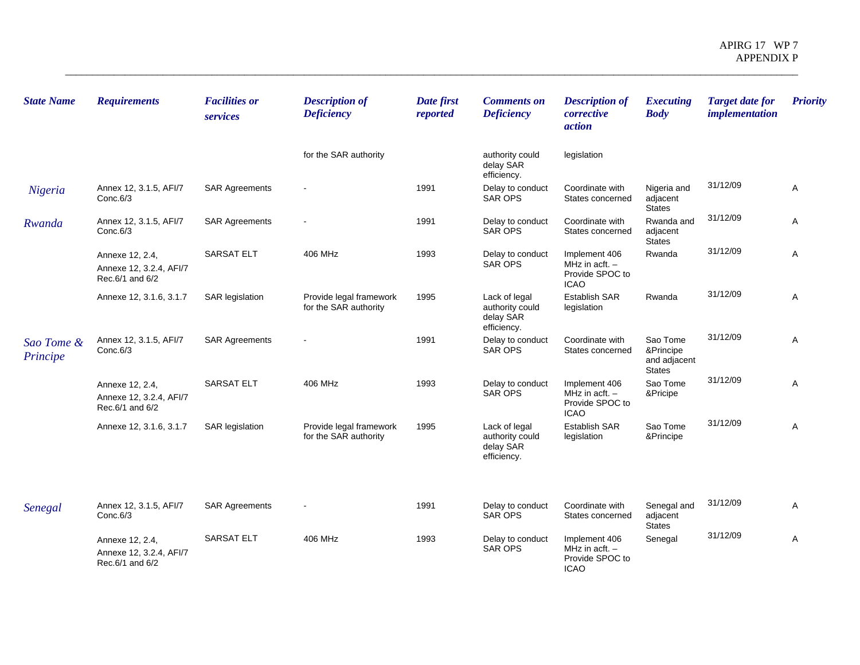| <b>State Name</b>      | <b>Requirements</b>                                           | <b>Facilities or</b><br>services | <b>Description of</b><br><b>Deficiency</b>       | Date first<br>reported | <b>Comments on</b><br><b>Deficiency</b>                      | <b>Description of</b><br>corrective<br><i>action</i>                | <b>Executing</b><br><b>Body</b>                        | <b>Target date for</b><br><i>implementation</i> | <b>Priority</b> |
|------------------------|---------------------------------------------------------------|----------------------------------|--------------------------------------------------|------------------------|--------------------------------------------------------------|---------------------------------------------------------------------|--------------------------------------------------------|-------------------------------------------------|-----------------|
|                        |                                                               |                                  | for the SAR authority                            |                        | authority could<br>delay SAR<br>efficiency.                  | legislation                                                         |                                                        |                                                 |                 |
| Nigeria                | Annex 12, 3.1.5, AFI/7<br>Conc.6/3                            | <b>SAR Agreements</b>            |                                                  | 1991                   | Delay to conduct<br><b>SAR OPS</b>                           | Coordinate with<br>States concerned                                 | Nigeria and<br>adjacent<br><b>States</b>               | 31/12/09                                        | A               |
| Rwanda                 | Annex 12, 3.1.5, AFI/7<br>Conc.6/3                            | <b>SAR Agreements</b>            |                                                  | 1991                   | Delay to conduct<br>SAR OPS                                  | Coordinate with<br>States concerned                                 | Rwanda and<br>adjacent<br><b>States</b>                | 31/12/09                                        | Α               |
|                        | Annexe 12, 2.4,<br>Annexe 12, 3.2.4, AFI/7<br>Rec.6/1 and 6/2 | <b>SARSAT ELT</b>                | 406 MHz                                          | 1993                   | Delay to conduct<br>SAR OPS                                  | Implement 406<br>MHz in $actt. -$<br>Provide SPOC to<br><b>ICAO</b> | Rwanda                                                 | 31/12/09                                        | Α               |
|                        | Annexe 12, 3.1.6, 3.1.7                                       | <b>SAR</b> legislation           | Provide legal framework<br>for the SAR authority | 1995                   | Lack of legal<br>authority could<br>delay SAR<br>efficiency. | <b>Establish SAR</b><br>legislation                                 | Rwanda                                                 | 31/12/09                                        | Α               |
| Sao Tome &<br>Principe | Annex 12, 3.1.5, AFI/7<br>Conc.6/3                            | <b>SAR Agreements</b>            |                                                  | 1991                   | Delay to conduct<br>SAR OPS                                  | Coordinate with<br>States concerned                                 | Sao Tome<br>&Principe<br>and adjacent<br><b>States</b> | 31/12/09                                        | A               |
|                        | Annexe 12, 2.4,<br>Annexe 12, 3.2.4, AFI/7<br>Rec.6/1 and 6/2 | <b>SARSAT ELT</b>                | 406 MHz                                          | 1993                   | Delay to conduct<br>SAR OPS                                  | Implement 406<br>MHz in acft. $-$<br>Provide SPOC to<br><b>ICAO</b> | Sao Tome<br>&Pricipe                                   | 31/12/09                                        | Α               |
|                        | Annexe 12, 3.1.6, 3.1.7                                       | <b>SAR</b> legislation           | Provide legal framework<br>for the SAR authority | 1995                   | Lack of legal<br>authority could<br>delay SAR<br>efficiency. | <b>Establish SAR</b><br>legislation                                 | Sao Tome<br>&Principe                                  | 31/12/09                                        | A               |
| Senegal                | Annex 12, 3.1.5, AFI/7<br>Conc.6/3                            | <b>SAR Agreements</b>            |                                                  | 1991                   | Delay to conduct<br>SAR OPS                                  | Coordinate with<br>States concerned                                 | Senegal and<br>adjacent<br><b>States</b>               | 31/12/09                                        | A               |
|                        | Annexe 12, 2.4,<br>Annexe 12, 3.2.4, AFI/7<br>Rec.6/1 and 6/2 | <b>SARSAT ELT</b>                | 406 MHz                                          | 1993                   | Delay to conduct<br><b>SAR OPS</b>                           | Implement 406<br>MHz in acft. $-$<br>Provide SPOC to<br><b>ICAO</b> | Senegal                                                | 31/12/09                                        | Α               |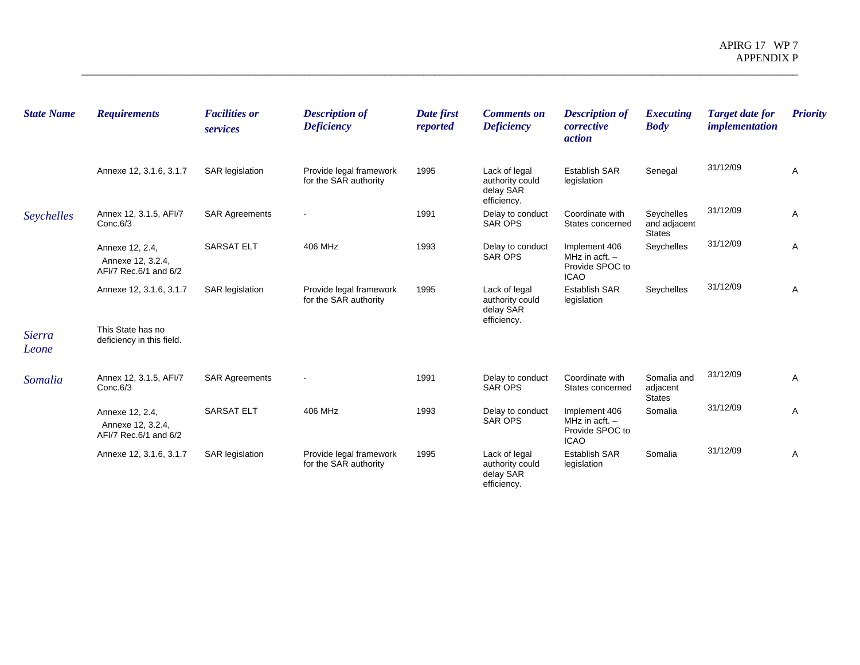| <b>State Name</b>      | <b>Requirements</b>                                           | <b>Facilities or</b><br>services | <b>Description of</b><br><b>Deficiency</b>       | Date first<br>reported | <b>Comments on</b><br><b>Deficiency</b>                      | <b>Description of</b><br>corrective<br><i>action</i>                | <b>Executing</b><br><b>Body</b>             | <b>Target date for</b><br><i>implementation</i> | <b>Priority</b> |
|------------------------|---------------------------------------------------------------|----------------------------------|--------------------------------------------------|------------------------|--------------------------------------------------------------|---------------------------------------------------------------------|---------------------------------------------|-------------------------------------------------|-----------------|
|                        | Annexe 12, 3.1.6, 3.1.7                                       | <b>SAR</b> legislation           | Provide legal framework<br>for the SAR authority | 1995                   | Lack of legal<br>authority could<br>delay SAR<br>efficiency. | Establish SAR<br>legislation                                        | Senegal                                     | 31/12/09                                        | Α               |
| Seychelles             | Annex 12, 3.1.5, AFI/7<br>Conc.6/3                            | <b>SAR Agreements</b>            |                                                  | 1991                   | Delay to conduct<br><b>SAR OPS</b>                           | Coordinate with<br>States concerned                                 | Seychelles<br>and adjacent<br><b>States</b> | 31/12/09                                        | A               |
|                        | Annexe 12, 2.4,<br>Annexe 12, 3.2.4,<br>AFI/7 Rec.6/1 and 6/2 | <b>SARSAT ELT</b>                | 406 MHz                                          | 1993                   | Delay to conduct<br><b>SAR OPS</b>                           | Implement 406<br>MHz in acft. $-$<br>Provide SPOC to<br><b>ICAO</b> | Seychelles                                  | 31/12/09                                        | Α               |
|                        | Annexe 12, 3.1.6, 3.1.7                                       | <b>SAR</b> legislation           | Provide legal framework<br>for the SAR authority | 1995                   | Lack of legal<br>authority could<br>delay SAR<br>efficiency. | <b>Establish SAR</b><br>legislation                                 | Seychelles                                  | 31/12/09                                        | Α               |
| <b>Sierra</b><br>Leone | This State has no<br>deficiency in this field.                |                                  |                                                  |                        |                                                              |                                                                     |                                             |                                                 |                 |
| Somalia                | Annex 12, 3.1.5, AFI/7<br>Conc.6/3                            | <b>SAR Agreements</b>            |                                                  | 1991                   | Delay to conduct<br><b>SAR OPS</b>                           | Coordinate with<br>States concerned                                 | Somalia and<br>adjacent<br><b>States</b>    | 31/12/09                                        | A               |
|                        | Annexe 12, 2.4,<br>Annexe 12, 3.2.4,<br>AFI/7 Rec.6/1 and 6/2 | <b>SARSAT ELT</b>                | 406 MHz                                          | 1993                   | Delay to conduct<br><b>SAR OPS</b>                           | Implement 406<br>MHz in acft. $-$<br>Provide SPOC to<br><b>ICAO</b> | Somalia                                     | 31/12/09                                        | Α               |
|                        | Annexe 12, 3.1.6, 3.1.7                                       | <b>SAR</b> legislation           | Provide legal framework<br>for the SAR authority | 1995                   | Lack of legal<br>authority could<br>delay SAR<br>efficiency. | <b>Establish SAR</b><br>legislation                                 | Somalia                                     | 31/12/09                                        | Α               |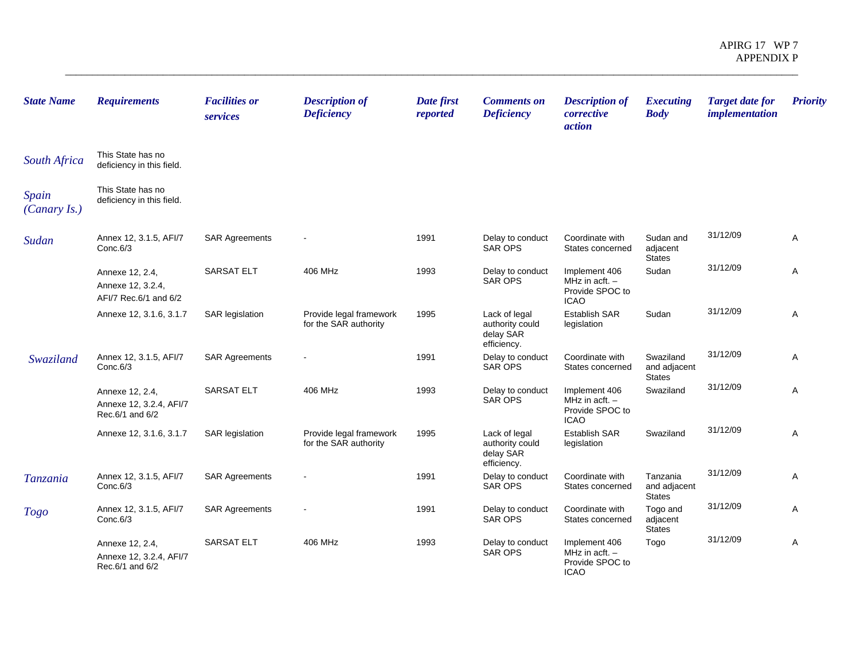| <b>State Name</b>     | <b>Requirements</b>                                           | <b>Facilities or</b><br>services | <b>Description of</b><br><b>Deficiency</b>       | Date first<br>reported | <b>Comments on</b><br><b>Deficiency</b>                      | <b>Description of</b><br>corrective<br>action                       | <b>Executing</b><br><b>Body</b>            | <b>Target date for</b><br><i>implementation</i> | <b>Priority</b> |
|-----------------------|---------------------------------------------------------------|----------------------------------|--------------------------------------------------|------------------------|--------------------------------------------------------------|---------------------------------------------------------------------|--------------------------------------------|-------------------------------------------------|-----------------|
| <b>South Africa</b>   | This State has no<br>deficiency in this field.                |                                  |                                                  |                        |                                                              |                                                                     |                                            |                                                 |                 |
| Spain<br>(Canary Is.) | This State has no<br>deficiency in this field.                |                                  |                                                  |                        |                                                              |                                                                     |                                            |                                                 |                 |
| Sudan                 | Annex 12, 3.1.5, AFI/7<br>Conc.6/3                            | <b>SAR Agreements</b>            |                                                  | 1991                   | Delay to conduct<br><b>SAR OPS</b>                           | Coordinate with<br>States concerned                                 | Sudan and<br>adjacent<br><b>States</b>     | 31/12/09                                        | Α               |
|                       | Annexe 12, 2.4,<br>Annexe 12, 3.2.4,<br>AFI/7 Rec.6/1 and 6/2 | <b>SARSAT ELT</b>                | 406 MHz                                          | 1993                   | Delay to conduct<br><b>SAR OPS</b>                           | Implement 406<br>MHz in acft. $-$<br>Provide SPOC to<br><b>ICAO</b> | Sudan                                      | 31/12/09                                        | A               |
|                       | Annexe 12, 3.1.6, 3.1.7                                       | <b>SAR</b> legislation           | Provide legal framework<br>for the SAR authority | 1995                   | Lack of legal<br>authority could<br>delay SAR<br>efficiency. | <b>Establish SAR</b><br>legislation                                 | Sudan                                      | 31/12/09                                        | Α               |
| Swaziland             | Annex 12, 3.1.5, AFI/7<br>Conc.6/3                            | <b>SAR Agreements</b>            |                                                  | 1991                   | Delay to conduct<br><b>SAR OPS</b>                           | Coordinate with<br>States concerned                                 | Swaziland<br>and adjacent<br><b>States</b> | 31/12/09                                        | Α               |
|                       | Annexe 12, 2.4,<br>Annexe 12, 3.2.4, AFI/7<br>Rec.6/1 and 6/2 | <b>SARSAT ELT</b>                | 406 MHz                                          | 1993                   | Delay to conduct<br><b>SAR OPS</b>                           | Implement 406<br>MHz in acft. $-$<br>Provide SPOC to<br><b>ICAO</b> | Swaziland                                  | 31/12/09                                        | Α               |
|                       | Annexe 12, 3.1.6, 3.1.7                                       | <b>SAR</b> legislation           | Provide legal framework<br>for the SAR authority | 1995                   | Lack of legal<br>authority could<br>delay SAR<br>efficiency. | Establish SAR<br>legislation                                        | Swaziland                                  | 31/12/09                                        | A               |
| Tanzania              | Annex 12, 3.1.5, AFI/7<br>Conc.6/3                            | <b>SAR Agreements</b>            |                                                  | 1991                   | Delay to conduct<br><b>SAR OPS</b>                           | Coordinate with<br>States concerned                                 | Tanzania<br>and adjacent<br><b>States</b>  | 31/12/09                                        | Α               |
| <b>Togo</b>           | Annex 12, 3.1.5, AFI/7<br>Conc.6/3                            | <b>SAR Agreements</b>            |                                                  | 1991                   | Delay to conduct<br><b>SAR OPS</b>                           | Coordinate with<br>States concerned                                 | Togo and<br>adjacent<br><b>States</b>      | 31/12/09                                        | Α               |
|                       | Annexe 12, 2.4,<br>Annexe 12, 3.2.4, AFI/7<br>Rec.6/1 and 6/2 | <b>SARSAT ELT</b>                | 406 MHz                                          | 1993                   | Delay to conduct<br><b>SAR OPS</b>                           | Implement 406<br>MHz in acft. $-$<br>Provide SPOC to<br><b>ICAO</b> | Togo                                       | 31/12/09                                        | Α               |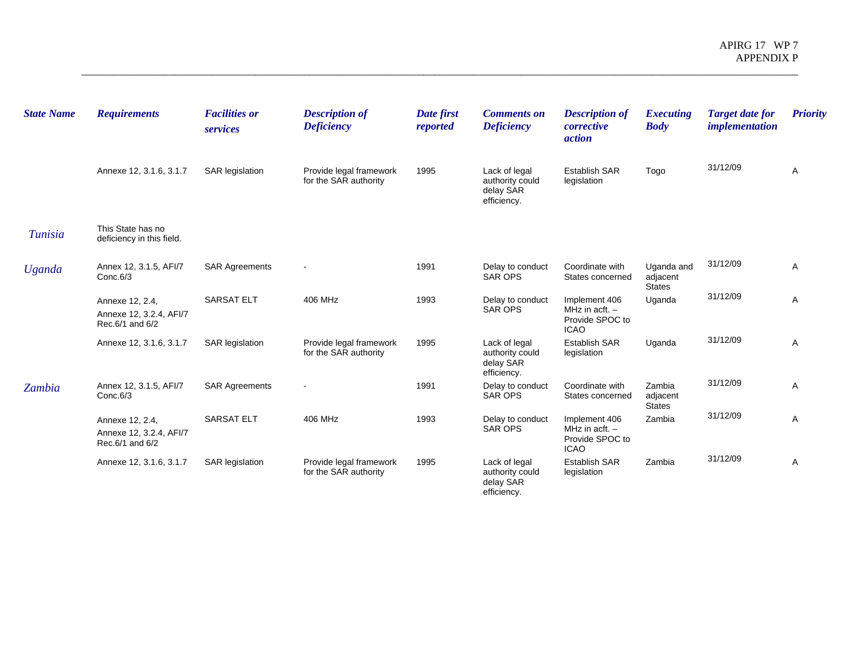| <b>State Name</b> | <b>Requirements</b>                                           | <b>Facilities or</b><br>services | <b>Description of</b><br><b>Deficiency</b>       | Date first<br>reported | <b>Comments on</b><br><b>Deficiency</b>                      | <b>Description of</b><br>corrective<br><i>action</i>                | <b>Executing</b><br><b>Body</b>         | <b>Target date for</b><br><i>implementation</i> | <b>Priority</b> |
|-------------------|---------------------------------------------------------------|----------------------------------|--------------------------------------------------|------------------------|--------------------------------------------------------------|---------------------------------------------------------------------|-----------------------------------------|-------------------------------------------------|-----------------|
|                   | Annexe 12, 3.1.6, 3.1.7                                       | <b>SAR legislation</b>           | Provide legal framework<br>for the SAR authority | 1995                   | Lack of legal<br>authority could<br>delay SAR<br>efficiency. | <b>Establish SAR</b><br>legislation                                 | Togo                                    | 31/12/09                                        | Α               |
| <b>Tunisia</b>    | This State has no<br>deficiency in this field.                |                                  |                                                  |                        |                                                              |                                                                     |                                         |                                                 |                 |
| <b>Uganda</b>     | Annex 12, 3.1.5, AFI/7<br>Conc.6/3                            | <b>SAR Agreements</b>            |                                                  | 1991                   | Delay to conduct<br><b>SAR OPS</b>                           | Coordinate with<br>States concerned                                 | Uganda and<br>adjacent<br><b>States</b> | 31/12/09                                        | Α               |
|                   | Annexe 12, 2.4,<br>Annexe 12, 3.2.4, AFI/7<br>Rec.6/1 and 6/2 | <b>SARSAT ELT</b>                | 406 MHz                                          | 1993                   | Delay to conduct<br><b>SAR OPS</b>                           | Implement 406<br>MHz in acft. $-$<br>Provide SPOC to<br><b>ICAO</b> | Uganda                                  | 31/12/09                                        | Α               |
|                   | Annexe 12, 3.1.6, 3.1.7                                       | <b>SAR legislation</b>           | Provide legal framework<br>for the SAR authority | 1995                   | Lack of legal<br>authority could<br>delay SAR<br>efficiency. | <b>Establish SAR</b><br>legislation                                 | Uganda                                  | 31/12/09                                        | A               |
| Zambia            | Annex 12, 3.1.5, AFI/7<br>Conc.6/3                            | <b>SAR Agreements</b>            |                                                  | 1991                   | Delay to conduct<br><b>SAR OPS</b>                           | Coordinate with<br>States concerned                                 | Zambia<br>adjacent<br><b>States</b>     | 31/12/09                                        | Α               |
|                   | Annexe 12, 2.4,<br>Annexe 12, 3.2.4, AFI/7<br>Rec.6/1 and 6/2 | <b>SARSAT ELT</b>                | 406 MHz                                          | 1993                   | Delay to conduct<br><b>SAR OPS</b>                           | Implement 406<br>MHz in acft. -<br>Provide SPOC to<br><b>ICAO</b>   | Zambia                                  | 31/12/09                                        | Α               |
|                   | Annexe 12, 3.1.6, 3.1.7                                       | <b>SAR</b> legislation           | Provide legal framework<br>for the SAR authority | 1995                   | Lack of legal<br>authority could<br>delay SAR<br>efficiency. | <b>Establish SAR</b><br>legislation                                 | Zambia                                  | 31/12/09                                        | Α               |